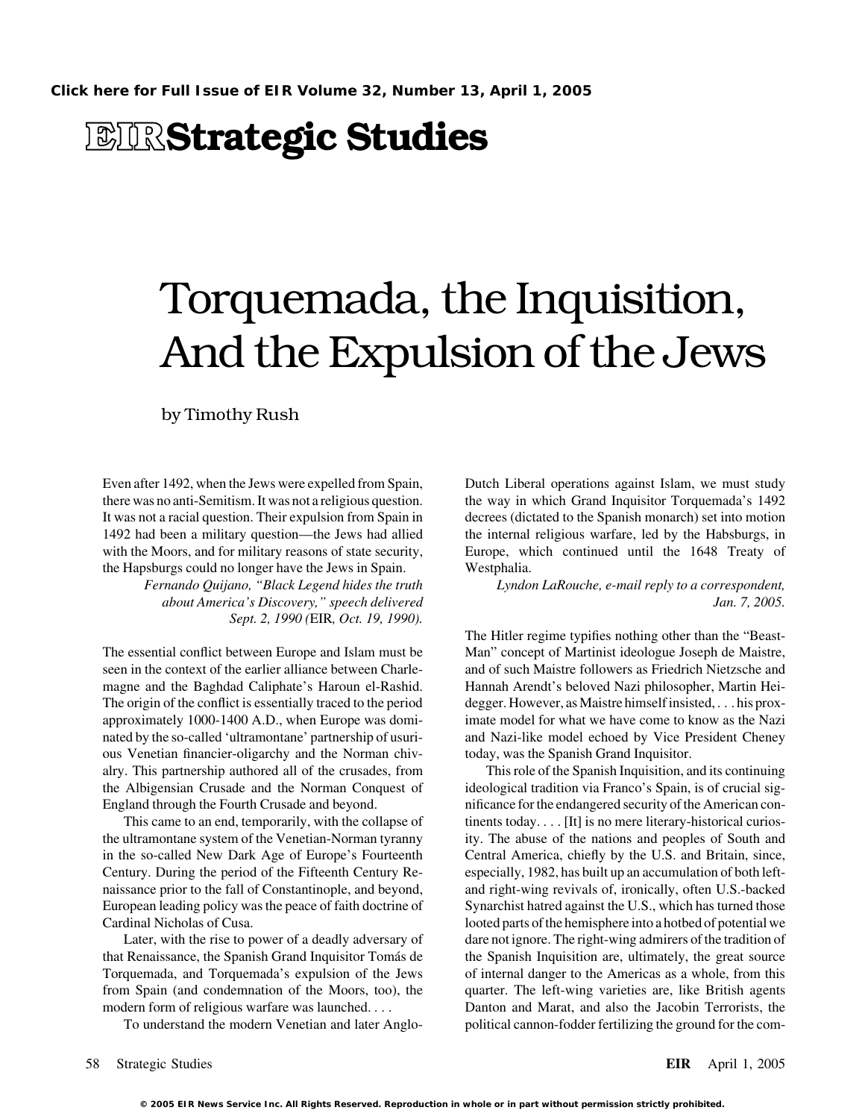## **EIRStrategic Studies**

# Torquemada, the Inquisition, And the Expulsion of the Jews

by Timothy Rush

Even after 1492, when the Jews were expelled from Spain, Dutch Liberal operations against Islam, we must study there was no anti-Semitism. It was not a religious question. the way in which Grand Inquisitor Torquemada's 1492 It was not a racial question. Their expulsion from Spain in decrees (dictated to the Spanish monarch) set into motion 1492 had been a military question—the Jews had allied the internal religious warfare, led by the Habsburgs, in with the Moors, and for military reasons of state security, Europe, which continued until the 1648 Treaty of the Hapsburgs could no longer have the Jews in Spain. Westphalia.

*Sept. 2, 1990 (*EIR*, Oct. 19, 1990).*

The essential conflict between Europe and Islam must be Man" concept of Martinist ideologue Joseph de Maistre, seen in the context of the earlier alliance between Charle- and of such Maistre followers as Friedrich Nietzsche and magne and the Baghdad Caliphate's Haroun el-Rashid. Hannah Arendt's beloved Nazi philosopher, Martin Hei-The origin of the conflict is essentially traced to the period degger. However, as Maistre himself insisted, . . . his proxapproximately 1000-1400 A.D., when Europe was domi- imate model for what we have come to know as the Nazi nated by the so-called 'ultramontane' partnership of usuri- and Nazi-like model echoed by Vice President Cheney ous Venetian financier-oligarchy and the Norman chiv- today, was the Spanish Grand Inquisitor. alry. This partnership authored all of the crusades, from This role of the Spanish Inquisition, and its continuing the Albigensian Crusade and the Norman Conquest of ideological tradition via Franco's Spain, is of crucial sig-England through the Fourth Crusade and beyond. nificance for the endangered security of the American con-

the ultramontane system of the Venetian-Norman tyranny ity. The abuse of the nations and peoples of South and in the so-called New Dark Age of Europe's Fourteenth Central America, chiefly by the U.S. and Britain, since, Century. During the period of the Fifteenth Century Re- especially, 1982, has built up an accumulation of both leftnaissance prior to the fall of Constantinople, and beyond, and right-wing revivals of, ironically, often U.S.-backed European leading policy was the peace of faith doctrine of Synarchist hatred against the U.S., which has turned those Cardinal Nicholas of Cusa. looted parts of the hemisphere into a hotbed of potential we

that Renaissance, the Spanish Grand Inquisitor Toma´s de the Spanish Inquisition are, ultimately, the great source Torquemada, and Torquemada's expulsion of the Jews of internal danger to the Americas as a whole, from this from Spain (and condemnation of the Moors, too), the quarter. The left-wing varieties are, like British agents modern form of religious warfare was launched. . . . . . . . Danton and Marat, and also the Jacobin Terrorists, the

*Fernando Quijano, "Black Legend hides the truth Lyndon LaRouche, e-mail reply to a correspondent, about America's Discovery," speech delivered Jan. 7, 2005.*

The Hitler regime typifies nothing other than the "Beast-

This came to an end, temporarily, with the collapse of tinents today. . . . [It] is no mere literary-historical curios-Later, with the rise to power of a deadly adversary of dare not ignore. The right-wing admirers of the tradition of To understand the modern Venetian and later Anglo- political cannon-fodder fertilizing the ground for the com-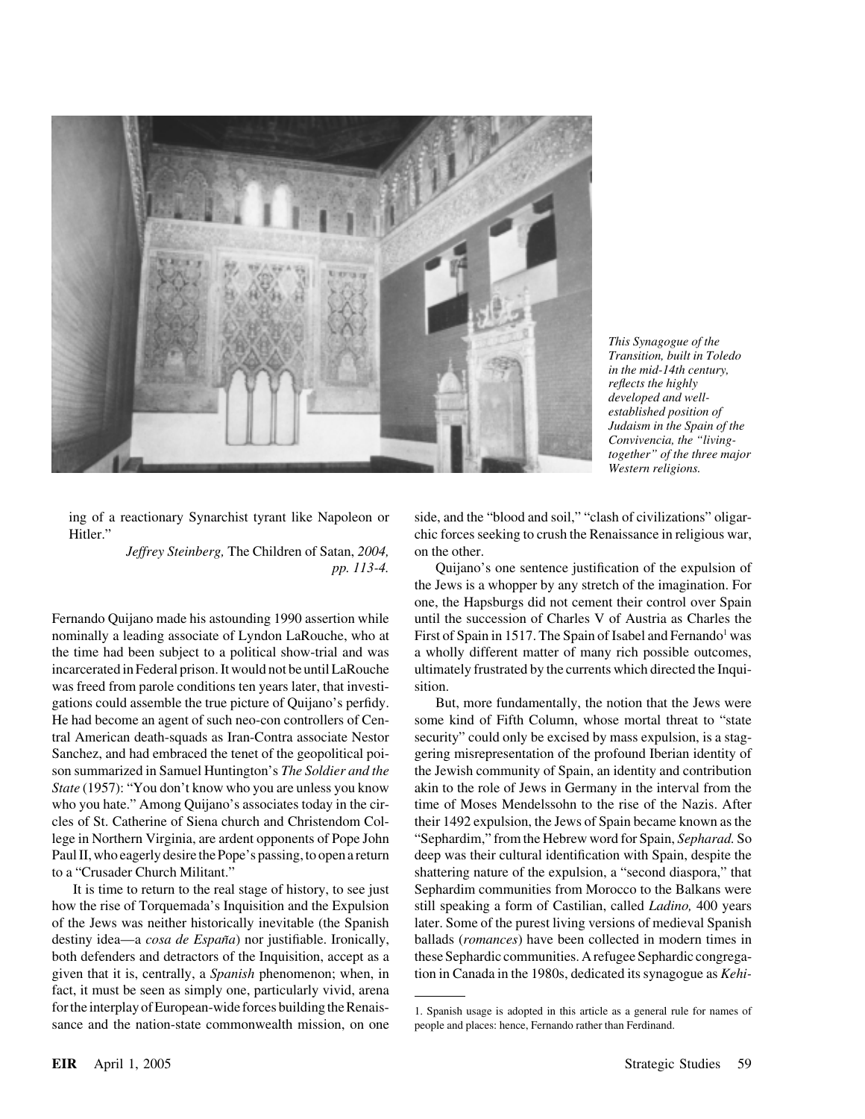

*This Synagogue of the Transition, built in Toledo in the mid-14th century, reflects the highly developed and wellestablished position of Judaism in the Spain of the Convivencia, the "livingtogether" of the three major Western religions.*

*Jeffrey Steinberg,* The Children of Satan, *2004,* on the other.

was freed from parole conditions ten years later, that investi-<br>sition. gations could assemble the true picture of Quijano's perfidy. But, more fundamentally, the notion that the Jews were

how the rise of Torquemada's Inquisition and the Expulsion still speaking a form of Castilian, called *Ladino,* 400 years of the Jews was neither historically inevitable (the Spanish later. Some of the purest living versions of medieval Spanish destiny idea—a *cosa de Espan˜a*) nor justifiable. Ironically, ballads (*romances*) have been collected in modern times in both defenders and detractors of the Inquisition, accept as a these Sephardic communities. A refugee Sephardic congregagiven that it is, centrally, a *Spanish* phenomenon; when, in tion in Canada in the 1980s, dedicated its synagogue as *Kehi*fact, it must be seen as simply one, particularly vivid, arena for the interplay of European-wide forces building the Renais-<br>
1. Spanish usage is adopted in this article as a general rule for names of sance and the nation-state commonwealth mission, on one people and places: hence, Fernando rather than Ferdinand.

ing of a reactionary Synarchist tyrant like Napoleon or side, and the "blood and soil," "clash of civilizations" oligar-Hitler." chic forces seeking to crush the Renaissance in religious war,

*pp. 113-4.* Quijano's one sentence justification of the expulsion of the Jews is a whopper by any stretch of the imagination. For one, the Hapsburgs did not cement their control over Spain Fernando Quijano made his astounding 1990 assertion while until the succession of Charles V of Austria as Charles the nominally a leading associate of Lyndon LaRouche, who at First of Spain in 1517. The Spain of Isabel and Fernando<sup>1</sup> was the time had been subject to a political show-trial and was a wholly different matter of many rich possible outcomes, incarcerated in Federal prison. It would not be until LaRouche ultimately frustrated by the currents which directed the Inqui-

He had become an agent of such neo-con controllers of Cen- some kind of Fifth Column, whose mortal threat to "state tral American death-squads as Iran-Contra associate Nestor security" could only be excised by mass expulsion, is a stag-Sanchez, and had embraced the tenet of the geopolitical poi- gering misrepresentation of the profound Iberian identity of son summarized in Samuel Huntington's *The Soldier and the* the Jewish community of Spain, an identity and contribution *State* (1957): "You don't know who you are unless you know akin to the role of Jews in Germany in the interval from the who you hate." Among Quijano's associates today in the cir-<br>time of Moses Mendelssohn to the rise of the Nazis. After cles of St. Catherine of Siena church and Christendom Col- their 1492 expulsion, the Jews of Spain became known as the lege in Northern Virginia, are ardent opponents of Pope John "Sephardim," from the Hebrew word for Spain, *Sepharad.* So Paul II, who eagerly desire the Pope's passing, to open a return deep was their cultural identification with Spain, despite the to a "Crusader Church Militant." shattering nature of the expulsion, a "second diaspora," that It is time to return to the real stage of history, to see just Sephardim communities from Morocco to the Balkans were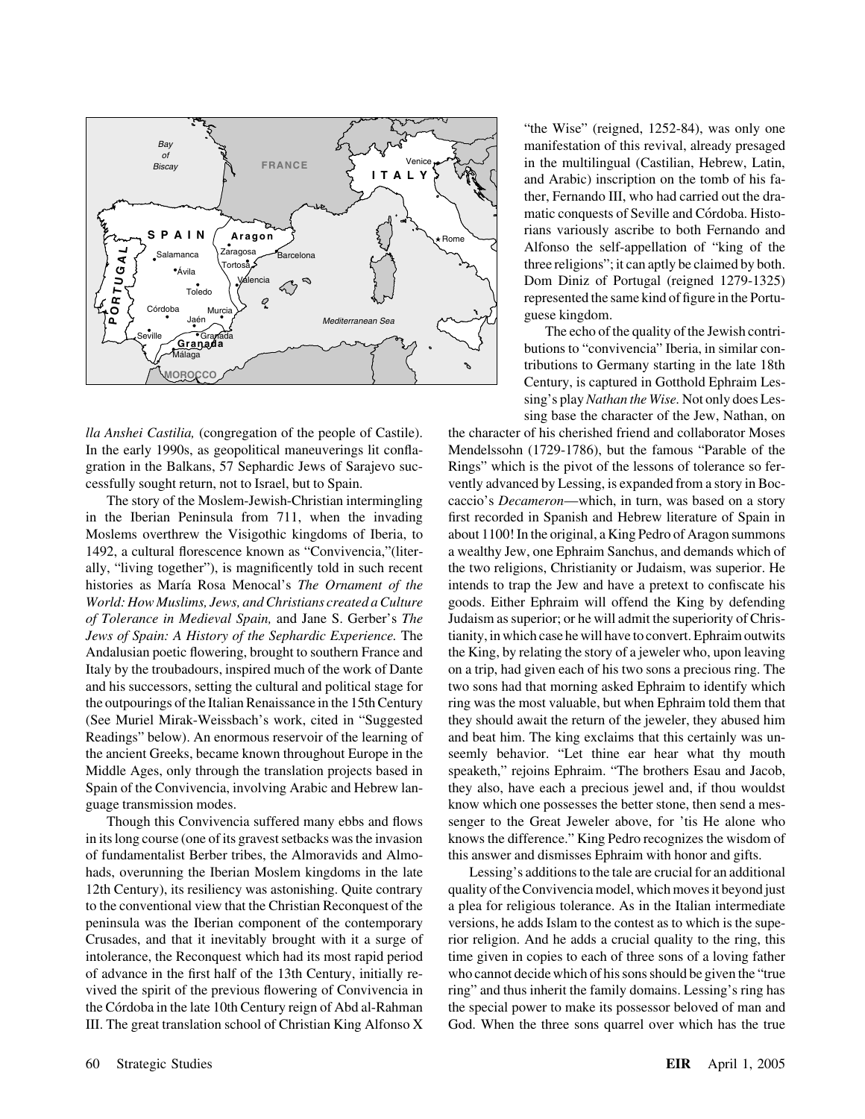

ally, "living together"), is magnificently told in such recent the two religions, Christianity or Judaism, was superior. He *World: How Muslims, Jews, and Christians created a Culture* goods. Either Ephraim will offend the King by defending *of Tolerance in Medieval Spain,* and Jane S. Gerber's *The* Judaism as superior; or he will admit the superiority of Chris-Andalusian poetic flowering, brought to southern France and the King, by relating the story of a jeweler who, upon leaving Italy by the troubadours, inspired much of the work of Dante on a trip, had given each of his two sons a precious ring. The Readings" below). An enormous reservoir of the learning of and beat him. The king exclaims that this certainly was unguage transmission modes. know which one possesses the better stone, then send a mes-

of fundamentalist Berber tribes, the Almoravids and Almo- this answer and dismisses Ephraim with honor and gifts. hads, overunning the Iberian Moslem kingdoms in the late Lessing's additions to the tale are crucial for an additional peninsula was the Iberian component of the contemporary versions, he adds Islam to the contest as to which is the supe-

"the Wise" (reigned, 1252-84), was only one manifestation of this revival, already presaged in the multilingual (Castilian, Hebrew, Latin, and Arabic) inscription on the tomb of his father, Fernando III, who had carried out the dramatic conquests of Seville and Córdoba. Historians variously ascribe to both Fernando and Alfonso the self-appellation of "king of the three religions"; it can aptly be claimed by both. Dom Diniz of Portugal (reigned 1279-1325) represented the same kind of figure in the Portuguese kingdom.

The echo of the quality of the Jewish contributions to "convivencia" Iberia, in similar contributions to Germany starting in the late 18th Century, is captured in Gotthold Ephraim Lessing's play*Nathan the Wise.* Not only does Lessing base the character of the Jew, Nathan, on

*lla Anshei Castilia,* (congregation of the people of Castile). the character of his cherished friend and collaborator Moses In the early 1990s, as geopolitical maneuverings lit confla- Mendelssohn (1729-1786), but the famous "Parable of the gration in the Balkans, 57 Sephardic Jews of Sarajevo suc- Rings" which is the pivot of the lessons of tolerance so fercessfully sought return, not to Israel, but to Spain. vently advanced by Lessing, is expanded from a story in Boc-The story of the Moslem-Jewish-Christian intermingling caccio's *Decameron*—which, in turn, was based on a story in the Iberian Peninsula from 711, when the invading first recorded in Spanish and Hebrew literature of Spain in Moslems overthrew the Visigothic kingdoms of Iberia, to about 1100! In the original, a King Pedro of Aragon summons 1492, a cultural florescence known as "Convivencia,"(liter- a wealthy Jew, one Ephraim Sanchus, and demands which of histories as María Rosa Menocal's *The Ornament of the* intends to trap the Jew and have a pretext to confiscate his *Jews of Spain: A History of the Sephardic Experience.* The tianity, in which case he will have to convert. Ephraim outwits and his successors, setting the cultural and political stage for two sons had that morning asked Ephraim to identify which the outpourings of the Italian Renaissance in the 15th Century ring was the most valuable, but when Ephraim told them that (See Muriel Mirak-Weissbach's work, cited in "Suggested they should await the return of the jeweler, they abused him the ancient Greeks, became known throughout Europe in the seemly behavior. "Let thine ear hear what thy mouth Middle Ages, only through the translation projects based in speaketh," rejoins Ephraim. "The brothers Esau and Jacob, Spain of the Convivencia, involving Arabic and Hebrew lan- they also, have each a precious jewel and, if thou wouldst Though this Convivencia suffered many ebbs and flows senger to the Great Jeweler above, for 'tis He alone who in its long course (one of its gravest setbacks was the invasion knows the difference." King Pedro recognizes the wisdom of

12th Century), its resiliency was astonishing. Quite contrary quality of the Convivencia model, which moves it beyond just to the conventional view that the Christian Reconquest of the a plea for religious tolerance. As in the Italian intermediate Crusades, and that it inevitably brought with it a surge of rior religion. And he adds a crucial quality to the ring, this intolerance, the Reconquest which had its most rapid period time given in copies to each of three sons of a loving father of advance in the first half of the 13th Century, initially re- who cannot decide which of his sons should be given the "true vived the spirit of the previous flowering of Convivencia in ring" and thus inherit the family domains. Lessing's ring has the Córdoba in the late 10th Century reign of Abd al-Rahman the special power to make its possessor beloved of man and III. The great translation school of Christian King Alfonso  $X$  God. When the three sons quarrel over which has the true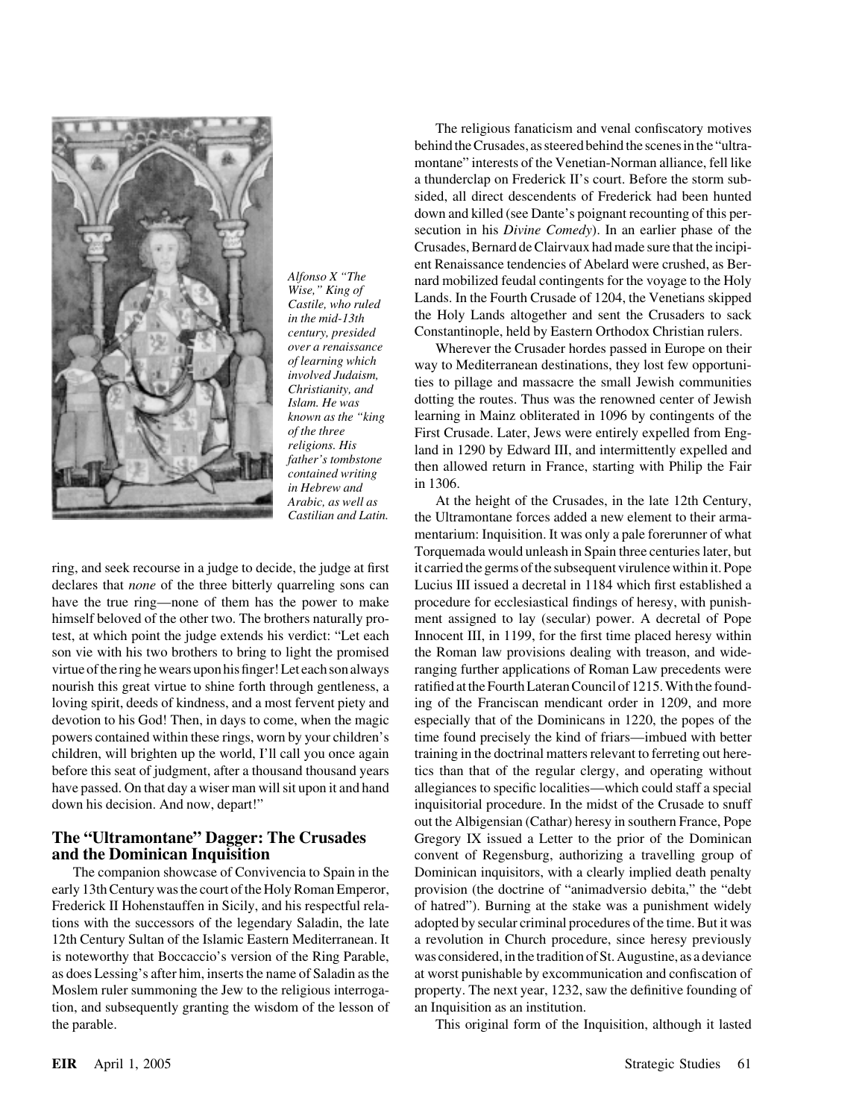

virtue of the ring he wears upon his finger! Let each son always ranging further applications of Roman Law precedents were

tion, and subsequently granting the wisdom of the lesson of an Inquisition as an institution. the parable. This original form of the Inquisition, although it lasted

The religious fanaticism and venal confiscatory motives behind the Crusades, as steered behind the scenes in the "ultramontane" interests of the Venetian-Norman alliance, fell like a thunderclap on Frederick II's court. Before the storm subsided, all direct descendents of Frederick had been hunted down and killed (see Dante's poignant recounting of this persecution in his *Divine Comedy*). In an earlier phase of the Crusades, Bernard de Clairvaux had made sure that the incipient Renaissance tendencies of Abelard were crushed, as Ber-*Alfonso X* "The nard mobilized feudal contingents for the voyage to the Holy Wise," King of Lands. In the Fourth Crusade of 1204, the Venetians skipped in the mid-13th the Holy Lands altogether and sent the Crusaders to s *century, presided* Constantinople, held by Eastern Orthodox Christian rulers.

*over a renaissance* Wherever the Crusader hordes passed in Europe on their *of learning which* way to Mediterranean destinations, they lost few opportuni of learning which<br>involved Judaism,<br>christianity, and<br>Islam. He was<br>dotting the routes. Thus was the renowned center of Jewish *known as the "king* learning in Mainz obliterated in 1096 by contingents of the *of the three* First Crusade. Later, Jews were entirely expelled from Eng-<br>religions. His land in 1290 by Edward III and intermittently expelled and *religions. His* land in 1290 by Edward III, and intermittently expelled and *father's tombstone* then allowed return in France, starting with Philip the Fair *in Hebrew and* in 1306.

*Arabic, as well as* At the height of the Crusades, in the late 12th Century, *Castilian and Latin.* the Ultramontane forces added a new element to their armamentarium: Inquisition. It was only a pale forerunner of what Torquemada would unleash in Spain three centuries later, but ring, and seek recourse in a judge to decide, the judge at first it carried the germs of the subsequent virulence within it. Pope declares that *none* of the three bitterly quarreling sons can Lucius III issued a decretal in 1184 which first established a have the true ring—none of them has the power to make procedure for ecclesiastical findings of heresy, with punishhimself beloved of the other two. The brothers naturally pro- ment assigned to lay (secular) power. A decretal of Pope test, at which point the judge extends his verdict: "Let each Innocent III, in 1199, for the first time placed heresy within son vie with his two brothers to bring to light the promised the Roman law provisions dealing with treason, and widenourish this great virtue to shine forth through gentleness, a ratified at the Fourth Lateran Council of 1215. With the foundloving spirit, deeds of kindness, and a most fervent piety and ing of the Franciscan mendicant order in 1209, and more devotion to his God! Then, in days to come, when the magic especially that of the Dominicans in 1220, the popes of the powers contained within these rings, worn by your children's time found precisely the kind of friars—imbued with better children, will brighten up the world, I'll call you once again training in the doctrinal matters relevant to ferreting out herebefore this seat of judgment, after a thousand thousand years tics than that of the regular clergy, and operating without have passed. On that day a wiser man will sit upon it and hand allegiances to specific localities—which could staff a special down his decision. And now, depart!" inquisitorial procedure. In the midst of the Crusade to snuff out the Albigensian (Cathar) heresy in southern France, Pope **The "Ultramontane" Dagger: The Crusades** Gregory IX issued a Letter to the prior of the Dominican **and the Dominican Inquisition** convent of Regensburg, authorizing a travelling group of The companion showcase of Convivencia to Spain in the Dominican inquisitors, with a clearly implied death penalty early 13th Century was the court of the Holy Roman Emperor, provision (the doctrine of "animadversio debita," the "debt Frederick II Hohenstauffen in Sicily, and his respectful rela- of hatred"). Burning at the stake was a punishment widely tions with the successors of the legendary Saladin, the late adopted by secular criminal procedures of the time. But it was 12th Century Sultan of the Islamic Eastern Mediterranean. It a revolution in Church procedure, since heresy previously is noteworthy that Boccaccio's version of the Ring Parable, was considered, in the tradition of St. Augustine, as a deviance as does Lessing's after him, inserts the name of Saladin as the at worst punishable by excommunication and confiscation of Moslem ruler summoning the Jew to the religious interroga- property. The next year, 1232, saw the definitive founding of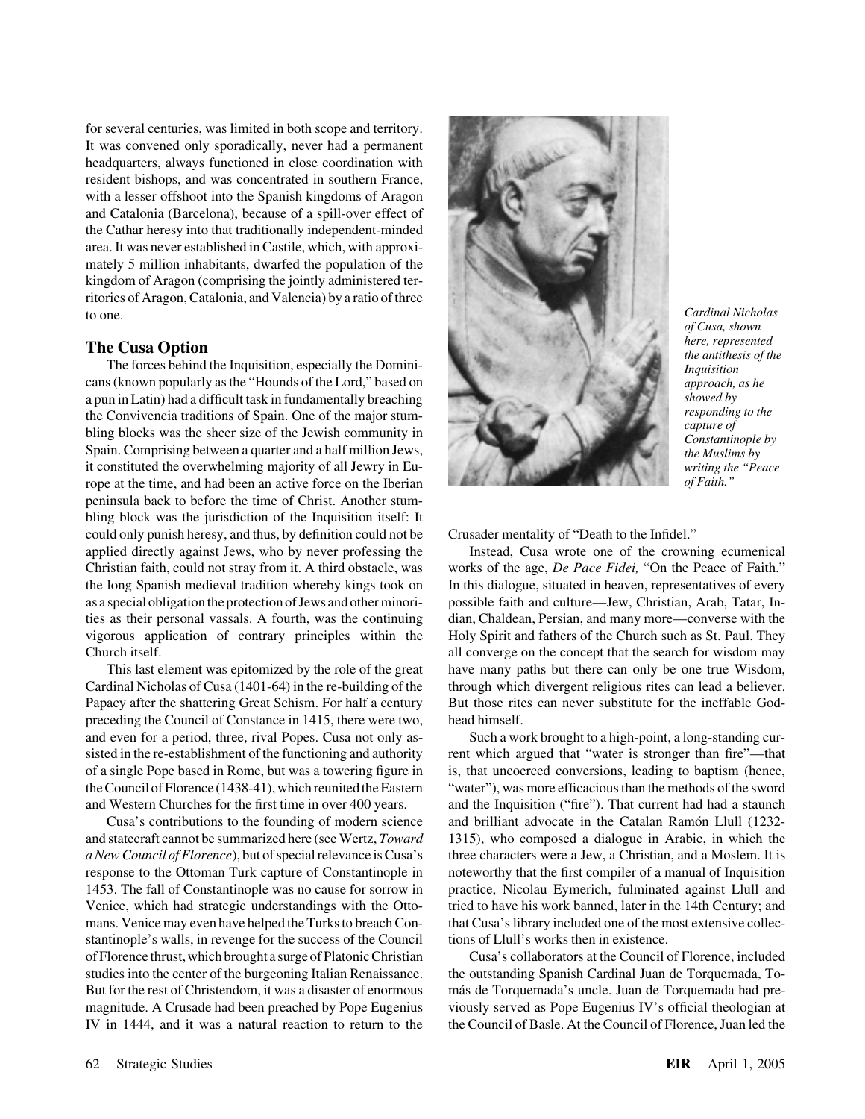for several centuries, was limited in both scope and territory. It was convened only sporadically, never had a permanent headquarters, always functioned in close coordination with resident bishops, and was concentrated in southern France, with a lesser offshoot into the Spanish kingdoms of Aragon and Catalonia (Barcelona), because of a spill-over effect of the Cathar heresy into that traditionally independent-minded area. It was never established in Castile, which, with approximately 5 million inhabitants, dwarfed the population of the kingdom of Aragon (comprising the jointly administered territories of Aragon, Catalonia, and Valencia) by a ratio of three to one. *Cardinal Nicholas*

cans (known popularly as the "Hounds of the Lord," based on *approach, as he* a pun in Latin) had a difficult task in fundamentally breaching *showed by*<br>the Convivencia traditions of Spain. One of the major stum. the Convivencia traditions of Spain. One of the major stum-<br>bling blocks was the sheer size of the Jewish community in<br>Spain. Comprising between a quarter and a half million Jews,<br>it constituted the overwhelming majority o it constituted the overwhelming majority of all Jewry in Europe at the time, and had been an active force on the Iberian *of Faith." of Faith.*" peninsula back to before the time of Christ. Another stumbling block was the jurisdiction of the Inquisition itself: It could only punish heresy, and thus, by definition could not be Crusader mentality of "Death to the Infidel." applied directly against Jews, who by never professing the Instead, Cusa wrote one of the crowning ecumenical Christian faith, could not stray from it. A third obstacle, was works of the age, *De Pace Fidei,* "On the Peace of Faith." the long Spanish medieval tradition whereby kings took on In this dialogue, situated in heaven, representatives of every as a special obligation the protection of Jews and other minori- possible faith and culture—Jew, Christian, Arab, Tatar, Inties as their personal vassals. A fourth, was the continuing dian, Chaldean, Persian, and many more—converse with the vigorous application of contrary principles within the Holy Spirit and fathers of the Church such as St. Paul. They Church itself. all converge on the concept that the search for wisdom may

preceding the Council of Constance in 1415, there were two, head himself. and even for a period, three, rival Popes. Cusa not only as- Such a work brought to a high-point, a long-standing cur-

mans. Venice may even have helped the Turks to breach Con-<br>that Cusa's library included one of the most extensive collecstantinople's walls, in revenge for the success of the Council tions of Llull's works then in existence.



*of Cusa, shown*

This last element was epitomized by the role of the great have many paths but there can only be one true Wisdom, Cardinal Nicholas of Cusa (1401-64) in the re-building of the through which divergent religious rites can lead a believer. Papacy after the shattering Great Schism. For half a century But those rites can never substitute for the ineffable God-

sisted in the re-establishment of the functioning and authority rent which argued that "water is stronger than fire"—that of a single Pope based in Rome, but was a towering figure in is, that uncoerced conversions, leading to baptism (hence, the Council of Florence (1438-41), which reunited the Eastern "water"), was more efficacious than the methods of the sword and Western Churches for the first time in over 400 years. and the Inquisition ("fire"). That current had had a staunch Cusa's contributions to the founding of modern science and brilliant advocate in the Catalan Ramón Llull (1232and statecraft cannot be summarized here (see Wertz, *Toward* 1315), who composed a dialogue in Arabic, in which the *a New Council of Florence*), but of special relevance is Cusa's three characters were a Jew, a Christian, and a Moslem. It is response to the Ottoman Turk capture of Constantinople in noteworthy that the first compiler of a manual of Inquisition 1453. The fall of Constantinople was no cause for sorrow in practice, Nicolau Eymerich, fulminated against Llull and Venice, which had strategic understandings with the Otto- tried to have his work banned, later in the 14th Century; and

of Florence thrust, which brought a surge of Platonic Christian Cusa's collaborators at the Council of Florence, included studies into the center of the burgeoning Italian Renaissance. the outstanding Spanish Cardinal Juan de Torquemada, To-But for the rest of Christendom, it was a disaster of enormous más de Torquemada's uncle. Juan de Torquemada had premagnitude. A Crusade had been preached by Pope Eugenius viously served as Pope Eugenius IV's official theologian at IV in 1444, and it was a natural reaction to return to the the Council of Basle. At the Council of Florence, Juan led the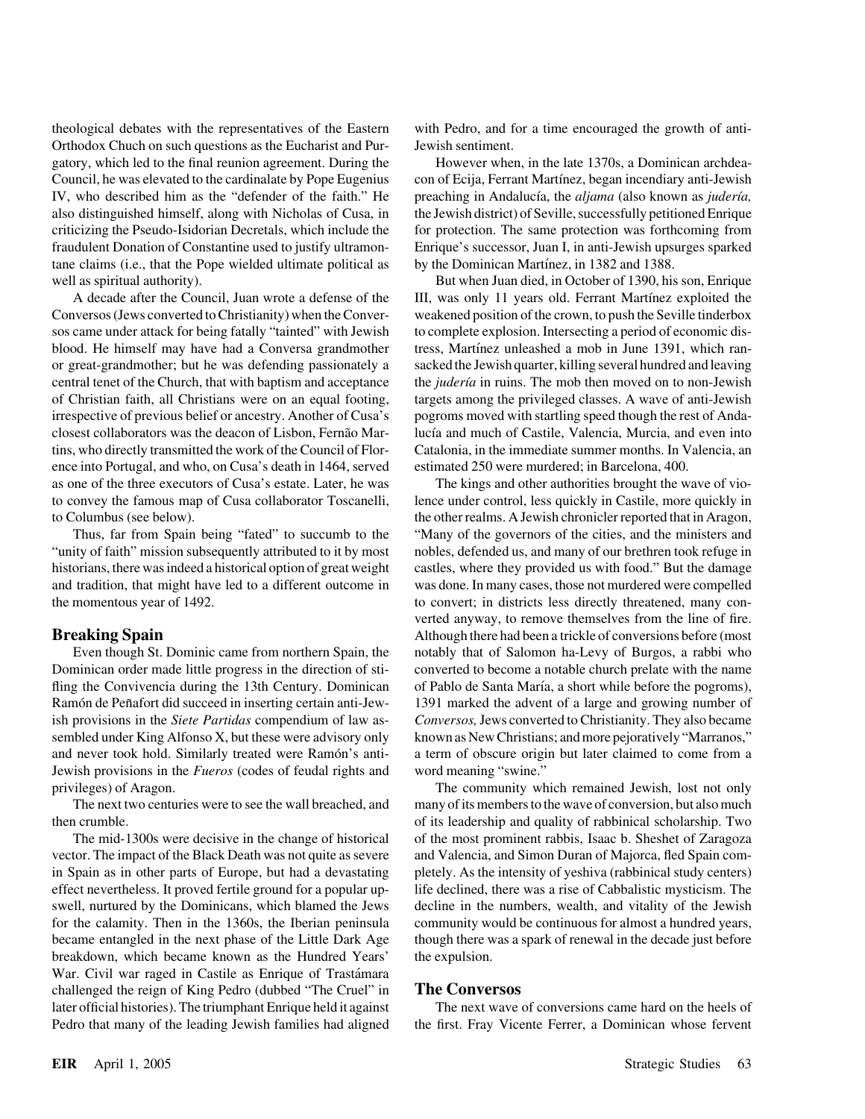theological debates with the representatives of the Eastern with Pedro, and for a time encouraged the growth of anti-Orthodox Chuch on such questions as the Eucharist and Pur- Jewish sentiment. gatory, which led to the final reunion agreement. During the However when, in the late 1370s, a Dominican archdea-Council, he was elevated to the cardinalate by Pope Eugenius con of Ecija, Ferrant Martínez, began incendiary anti-Jewish IV, who described him as the "defender of the faith." He preaching in Andalucía, the *aljama* (also known as *judería*, also distinguished himself, along with Nicholas of Cusa, in the Jewish district) of Seville, successfully petitioned Enrique criticizing the Pseudo-Isidorian Decretals, which include the for protection. The same protection was forthcoming from fraudulent Donation of Constantine used to justify ultramon- Enrique's successor, Juan I, in anti-Jewish upsurges sparked tane claims (i.e., that the Pope wielded ultimate political as by the Dominican Martínez, in 1382 and 1388. well as spiritual authority). But when Juan died, in October of 1390, his son, Enrique

Conversos (Jews converted to Christianity) when the Conver- weakened position of the crown, to push the Seville tinderbox sos came under attack for being fatally "tainted" with Jewish to complete explosion. Intersecting a period of economic disblood. He himself may have had a Conversa grandmother tress, Martínez unleashed a mob in June 1391, which ranor great-grandmother; but he was defending passionately a sacked the Jewish quarter, killing several hundred and leaving central tenet of the Church, that with baptism and acceptance the *judería* in ruins. The mob then moved on to non-Jewish of Christian faith, all Christians were on an equal footing, targets among the privileged classes. A wave of anti-Jewish irrespective of previous belief or ancestry. Another of Cusa's pogroms moved with startling speed though the rest of Andaclosest collaborators was the deacon of Lisbon, Fernão Mar- lucía and much of Castile, Valencia, Murcia, and even into tins, who directly transmitted the work of the Council of Flor- Catalonia, in the immediate summer months. In Valencia, an ence into Portugal, and who, on Cusa's death in 1464, served estimated 250 were murdered; in Barcelona, 400. as one of the three executors of Cusa's estate. Later, he was The kings and other authorities brought the wave of vioto convey the famous map of Cusa collaborator Toscanelli, lence under control, less quickly in Castile, more quickly in to Columbus (see below). the other realms. A Jewish chronicler reported that in Aragon,

"unity of faith" mission subsequently attributed to it by most nobles, defended us, and many of our brethren took refuge in historians, there was indeed a historical option of great weight castles, where they provided us with food." But the damage and tradition, that might have led to a different outcome in was done. In many cases, those not murdered were compelled the momentous year of 1492. to convert; in districts less directly threatened, many con-

Jewish provisions in the *Fueros* (codes of feudal rights and word meaning "swine."

vector. The impact of the Black Death was not quite as severe and Valencia, and Simon Duran of Majorca, fled Spain comin Spain as in other parts of Europe, but had a devastating pletely. As the intensity of yeshiva (rabbinical study centers) effect nevertheless. It proved fertile ground for a popular up- life declined, there was a rise of Cabbalistic mysticism. The swell, nurtured by the Dominicans, which blamed the Jews decline in the numbers, wealth, and vitality of the Jewish for the calamity. Then in the 1360s, the Iberian peninsula community would be continuous for almost a hundred years, became entangled in the next phase of the Little Dark Age though there was a spark of renewal in the decade just before breakdown, which became known as the Hundred Years' the expulsion. War. Civil war raged in Castile as Enrique of Trastámara challenged the reign of King Pedro (dubbed "The Cruel" in **The Conversos** later official histories). The triumphant Enrique held it against The next wave of conversions came hard on the heels of Pedro that many of the leading Jewish families had aligned the first. Fray Vicente Ferrer, a Dominican whose fervent

A decade after the Council, Juan wrote a defense of the III, was only 11 years old. Ferrant Martínez exploited the

Thus, far from Spain being "fated" to succumb to the "Many of the governors of the cities, and the ministers and verted anyway, to remove themselves from the line of fire. **Breaking Spain** Although there had been a trickle of conversions before (most Even though St. Dominic came from northern Spain, the notably that of Salomon ha-Levy of Burgos, a rabbi who Dominican order made little progress in the direction of sti- converted to become a notable church prelate with the name fling the Convivencia during the 13th Century. Dominican of Pablo de Santa María, a short while before the pogroms), Ramón de Peñafort did succeed in inserting certain anti-Jew- 1391 marked the advent of a large and growing number of ish provisions in the *Siete Partidas* compendium of law as- *Conversos,*Jews converted to Christianity. They also became sembled under King Alfonso X, but these were advisory only known as New Christians; and more pejoratively "Marranos," and never took hold. Similarly treated were Ramón's anti- a term of obscure origin but later claimed to come from a

privileges) of Aragon. The community which remained Jewish, lost not only The next two centuries were to see the wall breached, and many of its members to the wave of conversion, but also much then crumble. of its leadership and quality of rabbinical scholarship. Two The mid-1300s were decisive in the change of historical of the most prominent rabbis, Isaac b. Sheshet of Zaragoza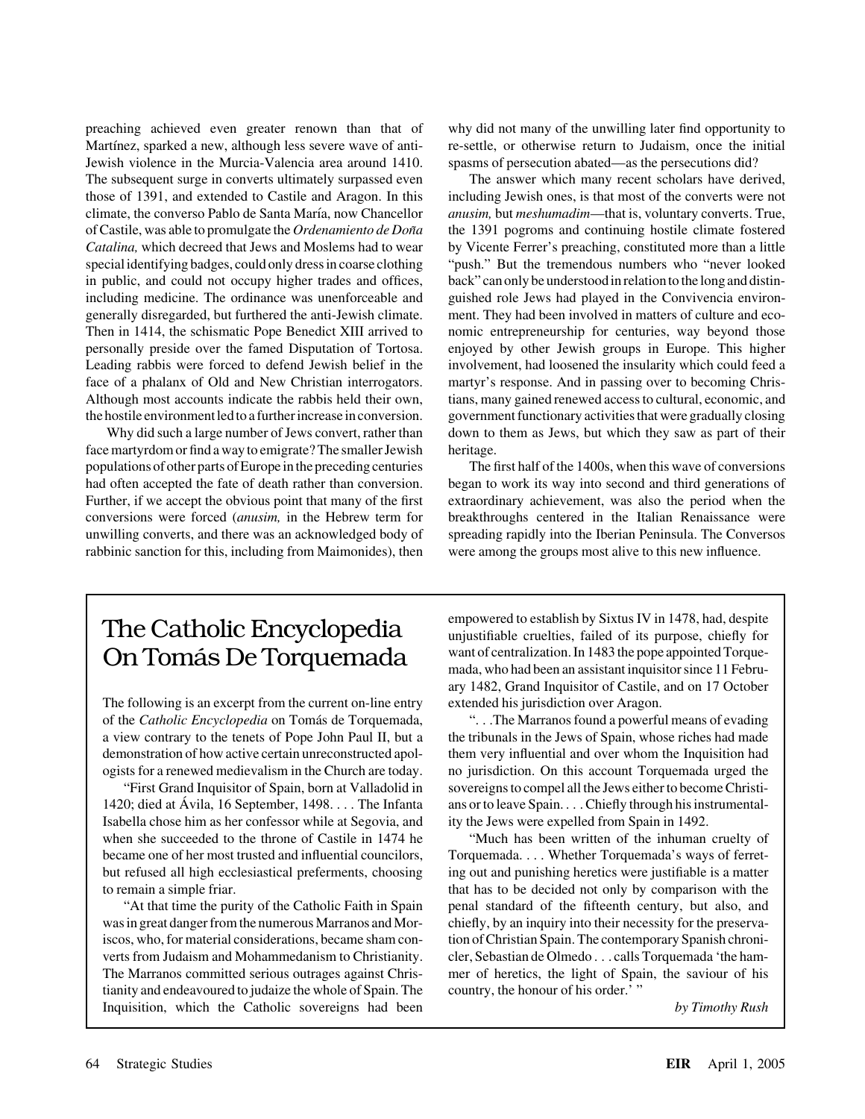preaching achieved even greater renown than that of why did not many of the unwilling later find opportunity to Martínez, sparked a new, although less severe wave of anti-<br>re-settle, or otherwise return to Judaism, once the initial Jewish violence in the Murcia-Valencia area around 1410. spasms of persecution abated—as the persecutions did? The subsequent surge in converts ultimately surpassed even The answer which many recent scholars have derived, those of 1391, and extended to Castile and Aragon. In this including Jewish ones, is that most of the converts were not climate, the converso Pablo de Santa Mar´ıa, now Chancellor *anusim,* but *meshumadim*—that is, voluntary converts. True, of Castile, was able to promulgate the *Ordenamiento de Don˜a* the 1391 pogroms and continuing hostile climate fostered *Catalina,* which decreed that Jews and Moslems had to wear by Vicente Ferrer's preaching, constituted more than a little special identifying badges, could only dress in coarse clothing "push." But the tremendous numbers who "never looked in public, and could not occupy higher trades and offices, back" can only be understood in relation to the long and distinincluding medicine. The ordinance was unenforceable and guished role Jews had played in the Convivencia environgenerally disregarded, but furthered the anti-Jewish climate. ment. They had been involved in matters of culture and eco-Then in 1414, the schismatic Pope Benedict XIII arrived to nomic entrepreneurship for centuries, way beyond those personally preside over the famed Disputation of Tortosa. enjoyed by other Jewish groups in Europe. This higher Leading rabbis were forced to defend Jewish belief in the involvement, had loosened the insularity which could feed a face of a phalanx of Old and New Christian interrogators. martyr's response. And in passing over to becoming Chris-Although most accounts indicate the rabbis held their own, tians, many gained renewed access to cultural, economic, and

face martyrdom or find a way to emigrate? The smaller Jewish heritage. populations of other parts of Europe in the preceding centuries The first half of the 1400s, when this wave of conversions had often accepted the fate of death rather than conversion. began to work its way into second and third generations of Further, if we accept the obvious point that many of the first extraordinary achievement, was also the period when the conversions were forced (*anusim,* in the Hebrew term for breakthroughs centered in the Italian Renaissance were unwilling converts, and there was an acknowledged body of spreading rapidly into the Iberian Peninsula. The Conversos rabbinic sanction for this, including from Maimonides), then were among the groups most alive to this new influence.

the hostile environment led to a further increase in conversion. government functionary activities that were gradually closing Why did such a large number of Jews convert, rather than down to them as Jews, but which they saw as part of their

The following is an excerpt from the current on-line entry extended his jurisdiction over Aragon. of the *Catholic Encyclopedia* on Toma´s de Torquemada, ". . .The Marranos found a powerful means of evading a view contrary to the tenets of Pope John Paul II, but a the tribunals in the Jews of Spain, whose riches had made demonstration of how active certain unreconstructed apol- them very influential and over whom the Inquisition had ogists for a renewed medievalism in the Church are today. no jurisdiction. On this account Torquemada urged the

1420; died at Ávila, 16 September, 1498. . . . The Infanta ans or to leave Spain. . . . Chiefly through his instrumental-Isabella chose him as her confessor while at Segovia, and ity the Jews were expelled from Spain in 1492. became one of her most trusted and influential councilors, Torquemada. . . . Whether Torquemada's ways of ferretto remain a simple friar. that has to be decided not only by comparison with the

was in great danger from the numerous Marranos and Mor-<br>chiefly, by an inquiry into their necessity for the preservaiscos, who, for material considerations, became sham con- tion of Christian Spain. The contemporary Spanish chroniverts from Judaism and Mohammedanism to Christianity. cler, Sebastian de Olmedo . . . calls Torquemada 'the ham-The Marranos committed serious outrages against Chris- mer of heretics, the light of Spain, the saviour of his tianity and endeavoured to judaize the whole of Spain. The country, the honour of his order.' " Inquisition, which the Catholic sovereigns had been *by Timothy Rush*

The Catholic Encyclopedia empowered to establish by Sixtus IV in 1478, had, despite<br>unjustifiable cruelties, failed of its purpose, chiefly for On Tomás De Torquemada want of centralization. In 1483 the pope appointed Torque- $_{\text{mada}, \text{who had been an assistant inquist for since 11 Febru-}}$ ary 1482, Grand Inquisitor of Castile, and on 17 October

"First Grand Inquisitor of Spain, born at Valladolid in sovereigns to compel all the Jews either to become Christi-

when she succeeded to the throne of Castile in 1474 he "Much has been written of the inhuman cruelty of but refused all high ecclesiastical preferments, choosing ing out and punishing heretics were justifiable is a matter "At that time the purity of the Catholic Faith in Spain penal standard of the fifteenth century, but also, and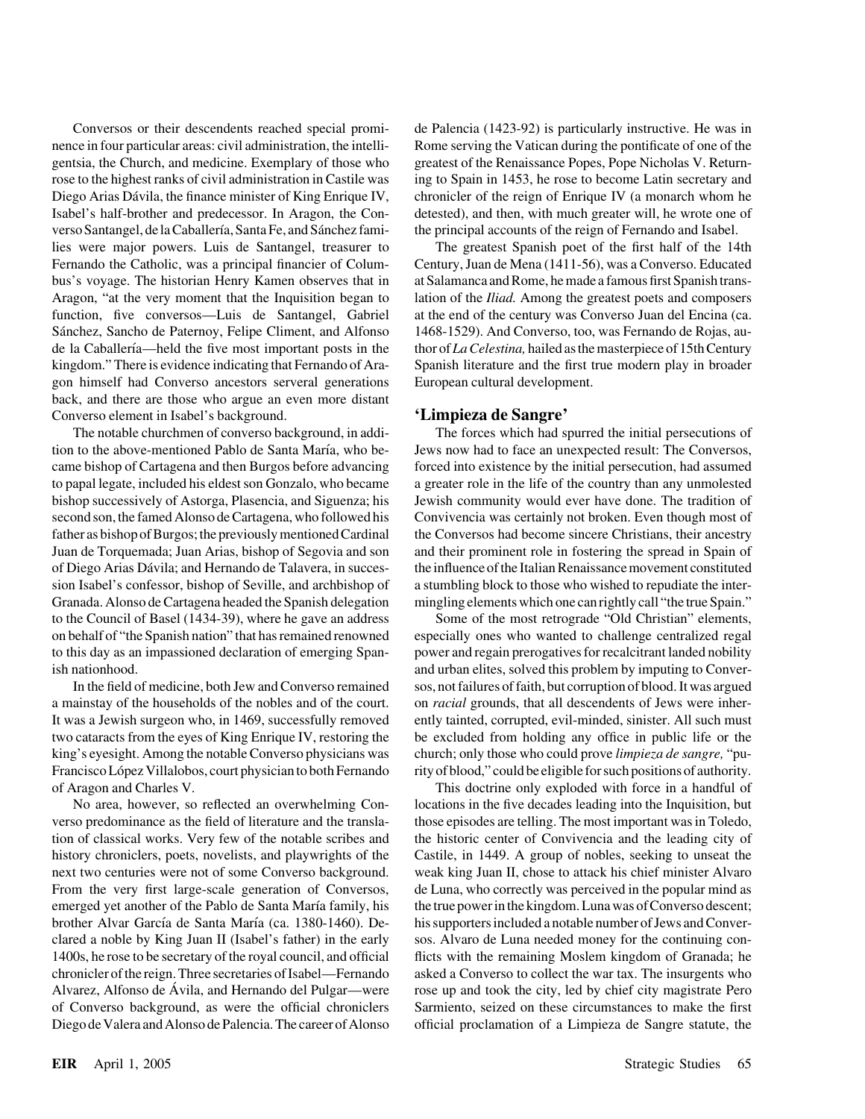gentsia, the Church, and medicine. Exemplary of those who greatest of the Renaissance Popes, Pope Nicholas V. Returnverso Santangel, de la Caballería, Santa Fe, and Sánchez fami- the principal accounts of the reign of Fernando and Isabel. bus's voyage. The historian Henry Kamen observes that in at Salamanca and Rome, he made a famous first Spanish trans-Sánchez, Sancho de Paternoy, Felipe Climent, and Alfonso 1468-1529). And Converso, too, was Fernando de Rojas, augon himself had Converso ancestors serveral generations European cultural development. back, and there are those who argue an even more distant Converso element in Isabel's background. **'Limpieza de Sangre'**

tion to the above-mentioned Pablo de Santa Mar´ıa, who be- Jews now had to face an unexpected result: The Conversos, came bishop of Cartagena and then Burgos before advancing forced into existence by the initial persecution, had assumed to papal legate, included his eldest son Gonzalo, who became a greater role in the life of the country than any unmolested bishop successively of Astorga, Plasencia, and Siguenza; his Jewish community would ever have done. The tradition of second son, the famed Alonso de Cartagena, who followed his Convivencia was certainly not broken. Even though most of father as bishop of Burgos; the previously mentioned Cardinal the Conversos had become sincere Christians, their ancestry Juan de Torquemada; Juan Arias, bishop of Segovia and son and their prominent role in fostering the spread in Spain of of Diego Arias Da´vila; and Hernando de Talavera, in succes- the influence of the Italian Renaissance movement constituted sion Isabel's confessor, bishop of Seville, and archbishop of a stumbling block to those who wished to repudiate the inter-Granada. Alonso de Cartagena headed the Spanish delegation mingling elements which one can rightly call "the true Spain." to the Council of Basel (1434-39), where he gave an address Some of the most retrograde "Old Christian" elements,

a mainstay of the households of the nobles and of the court. on *racial* grounds, that all descendents of Jews were inher-

verso predominance as the field of literature and the transla- those episodes are telling. The most important was in Toledo, tion of classical works. Very few of the notable scribes and the historic center of Convivencia and the leading city of history chroniclers, poets, novelists, and playwrights of the Castile, in 1449. A group of nobles, seeking to unseat the next two centuries were not of some Converso background. weak king Juan II, chose to attack his chief minister Alvaro From the very first large-scale generation of Conversos, de Luna, who correctly was perceived in the popular mind as emerged yet another of the Pablo de Santa María family, his the true power in the kingdom. Luna was of Converso descent; brother Alvar García de Santa María (ca. 1380-1460). De- his supporters included a notable number of Jews and Converclared a noble by King Juan II (Isabel's father) in the early sos. Alvaro de Luna needed money for the continuing con-1400s, he rose to be secretary of the royal council, and official flicts with the remaining Moslem kingdom of Granada; he chronicler of the reign. Three secretaries of Isabel—Fernando asked a Converso to collect the war tax. The insurgents who Alvarez, Alfonso de Ávila, and Hernando del Pulgar—were rose up and took the city, led by chief city magistrate Pero of Converso background, as were the official chroniclers Sarmiento, seized on these circumstances to make the first Diego de Valera and Alonso de Palencia. The career of Alonso official proclamation of a Limpieza de Sangre statute, the

Conversos or their descendents reached special promi- de Palencia (1423-92) is particularly instructive. He was in nence in four particular areas: civil administration, the intelli- Rome serving the Vatican during the pontificate of one of the rose to the highest ranks of civil administration in Castile was ing to Spain in 1453, he rose to become Latin secretary and Diego Arias Dávila, the finance minister of King Enrique IV, chronicler of the reign of Enrique IV (a monarch whom he Isabel's half-brother and predecessor. In Aragon, the Con- detested), and then, with much greater will, he wrote one of

lies were major powers. Luis de Santangel, treasurer to The greatest Spanish poet of the first half of the 14th Fernando the Catholic, was a principal financier of Colum- Century, Juan de Mena (1411-56), was a Converso. Educated Aragon, "at the very moment that the Inquisition began to lation of the *Iliad.* Among the greatest poets and composers function, five conversos—Luis de Santangel, Gabriel at the end of the century was Converso Juan del Encina (ca. de la Caballería—held the five most important posts in the thor of *La Celestina*, hailed as the masterpiece of 15th Century kingdom." There is evidence indicating that Fernando of Ara- Spanish literature and the first true modern play in broader

The notable churchmen of converso background, in addi- The forces which had spurred the initial persecutions of

on behalf of "the Spanish nation" that has remained renowned especially ones who wanted to challenge centralized regal to this day as an impassioned declaration of emerging Span- power and regain prerogatives for recalcitrant landed nobility ish nationhood. **and urban elites, solved this problem by imputing to Conver-**In the field of medicine, both Jew and Converso remained sos, not failures of faith, but corruption of blood. It was argued It was a Jewish surgeon who, in 1469, successfully removed ently tainted, corrupted, evil-minded, sinister. All such must two cataracts from the eyes of King Enrique IV, restoring the be excluded from holding any office in public life or the king's eyesight. Among the notable Converso physicians was church; only those who could prove *limpieza de sangre,* "pu-Francisco López Villalobos, court physician to both Fernando rity of blood," could be eligible for such positions of authority.

of Aragon and Charles V. This doctrine only exploded with force in a handful of No area, however, so reflected an overwhelming Con- locations in the five decades leading into the Inquisition, but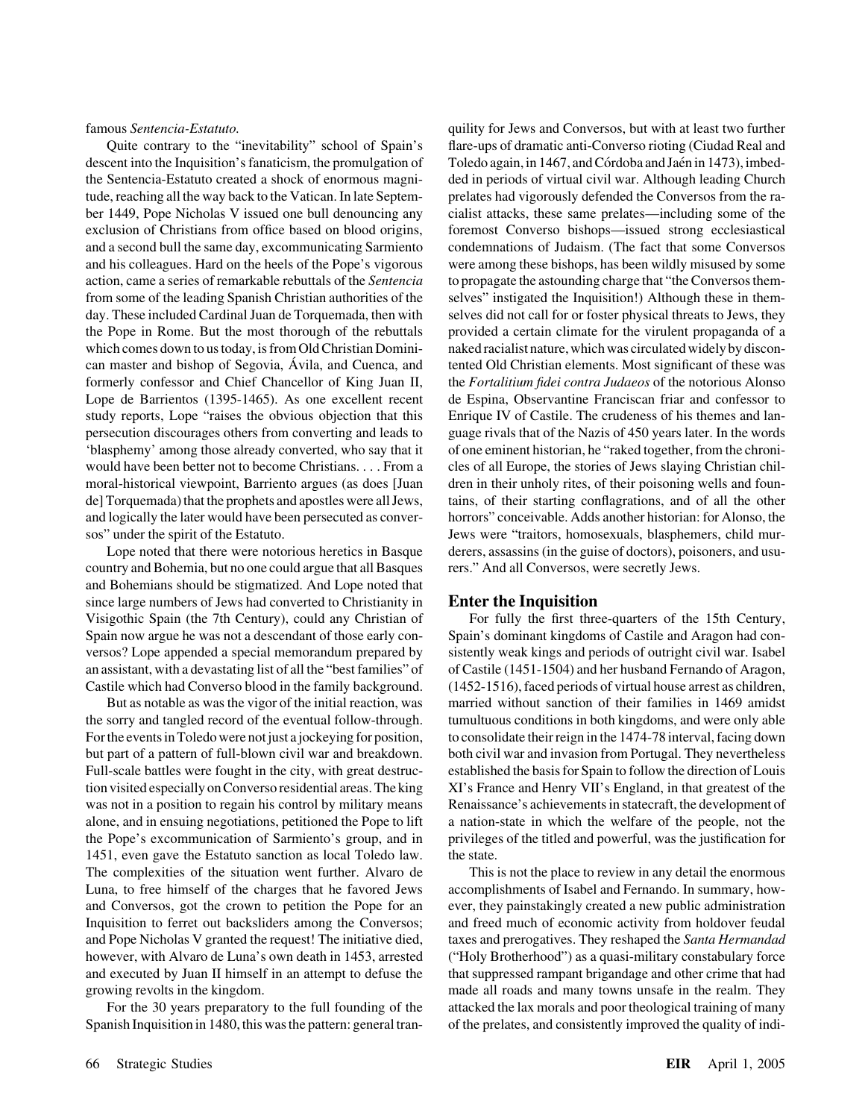descent into the Inquisition's fanaticism, the promulgation of Toledo again, in 1467, and Córdoba and Jaén in 1473), imbedthe Sentencia-Estatuto created a shock of enormous magni- ded in periods of virtual civil war. Although leading Church tude, reaching all the way back to the Vatican. In late Septem- prelates had vigorously defended the Conversos from the raber 1449, Pope Nicholas V issued one bull denouncing any cialist attacks, these same prelates—including some of the exclusion of Christians from office based on blood origins, foremost Converso bishops—issued strong ecclesiastical and a second bull the same day, excommunicating Sarmiento condemnations of Judaism. (The fact that some Conversos and his colleagues. Hard on the heels of the Pope's vigorous were among these bishops, has been wildly misused by some action, came a series of remarkable rebuttals of the *Sentencia* to propagate the astounding charge that "the Conversos themfrom some of the leading Spanish Christian authorities of the selves" instigated the Inquisition!) Although these in themday. These included Cardinal Juan de Torquemada, then with selves did not call for or foster physical threats to Jews, they the Pope in Rome. But the most thorough of the rebuttals provided a certain climate for the virulent propaganda of a which comes down to us today, is from Old Christian Domini-<br>maked racialist nature, which was circulated widely by disconcan master and bishop of Segovia, Ávila, and Cuenca, and tented Old Christian elements. Most significant of these was formerly confessor and Chief Chancellor of King Juan II, the *Fortalitium fidei contra Judaeos* of the notorious Alonso Lope de Barrientos (1395-1465). As one excellent recent de Espina, Observantine Franciscan friar and confessor to study reports, Lope "raises the obvious objection that this Enrique IV of Castile. The crudeness of his themes and lanpersecution discourages others from converting and leads to guage rivals that of the Nazis of 450 years later. In the words 'blasphemy' among those already converted, who say that it of one eminent historian, he "raked together, from the chroniwould have been better not to become Christians. . . . From a cles of all Europe, the stories of Jews slaying Christian chilmoral-historical viewpoint, Barriento argues (as does [Juan dren in their unholy rites, of their poisoning wells and founde] Torquemada) that the prophets and apostles were all Jews, tains, of their starting conflagrations, and of all the other and logically the later would have been persecuted as conver- horrors" conceivable. Adds another historian: for Alonso, the sos" under the spirit of the Estatuto. Jews were "traitors, homosexuals, blasphemers, child mur-

country and Bohemia, but no one could argue that all Basques rers." And all Conversos, were secretly Jews. and Bohemians should be stigmatized. And Lope noted that since large numbers of Jews had converted to Christianity in **Enter the Inquisition** Visigothic Spain (the 7th Century), could any Christian of For fully the first three-quarters of the 15th Century, Spain now argue he was not a descendant of those early con- Spain's dominant kingdoms of Castile and Aragon had conversos? Lope appended a special memorandum prepared by sistently weak kings and periods of outright civil war. Isabel an assistant, with a devastating list of all the "best families" of of Castile (1451-1504) and her husband Fernando of Aragon, Castile which had Converso blood in the family background. (1452-1516), faced periods of virtual house arrest as children,

the sorry and tangled record of the eventual follow-through. tumultuous conditions in both kingdoms, and were only able For the events in Toledo were not just a jockeying for position, to consolidate their reign in the 1474-78 interval, facing down but part of a pattern of full-blown civil war and breakdown. both civil war and invasion from Portugal. They nevertheless Full-scale battles were fought in the city, with great destruc-<br>
established the basis for Spain to follow the direction of Louis tion visited especially on Converso residential areas. The king XI's France and Henry VII's England, in that greatest of the was not in a position to regain his control by military means Renaissance's achievements in statecraft, the development of alone, and in ensuing negotiations, petitioned the Pope to lift a nation-state in which the welfare of the people, not the the Pope's excommunication of Sarmiento's group, and in privileges of the titled and powerful, was the justification for 1451, even gave the Estatuto sanction as local Toledo law. the state. The complexities of the situation went further. Alvaro de This is not the place to review in any detail the enormous Luna, to free himself of the charges that he favored Jews accomplishments of Isabel and Fernando. In summary, howand Conversos, got the crown to petition the Pope for an ever, they painstakingly created a new public administration Inquisition to ferret out backsliders among the Conversos; and freed much of economic activity from holdover feudal and Pope Nicholas V granted the request! The initiative died, taxes and prerogatives. They reshaped the *Santa Hermandad* however, with Alvaro de Luna's own death in 1453, arrested ("Holy Brotherhood") as a quasi-military constabulary force and executed by Juan II himself in an attempt to defuse the that suppressed rampant brigandage and other crime that had growing revolts in the kingdom. made all roads and many towns unsafe in the realm. They

Spanish Inquisition in 1480, this was the pattern: general tran- of the prelates, and consistently improved the quality of indi-

famous *Sentencia-Estatuto.* quility for Jews and Conversos, but with at least two further Quite contrary to the "inevitability" school of Spain's flare-ups of dramatic anti-Converso rioting (Ciudad Real and Lope noted that there were notorious heretics in Basque derers, assassins (in the guise of doctors), poisoners, and usu-

But as notable as was the vigor of the initial reaction, was married without sanction of their families in 1469 amidst

For the 30 years preparatory to the full founding of the attacked the lax morals and poor theological training of many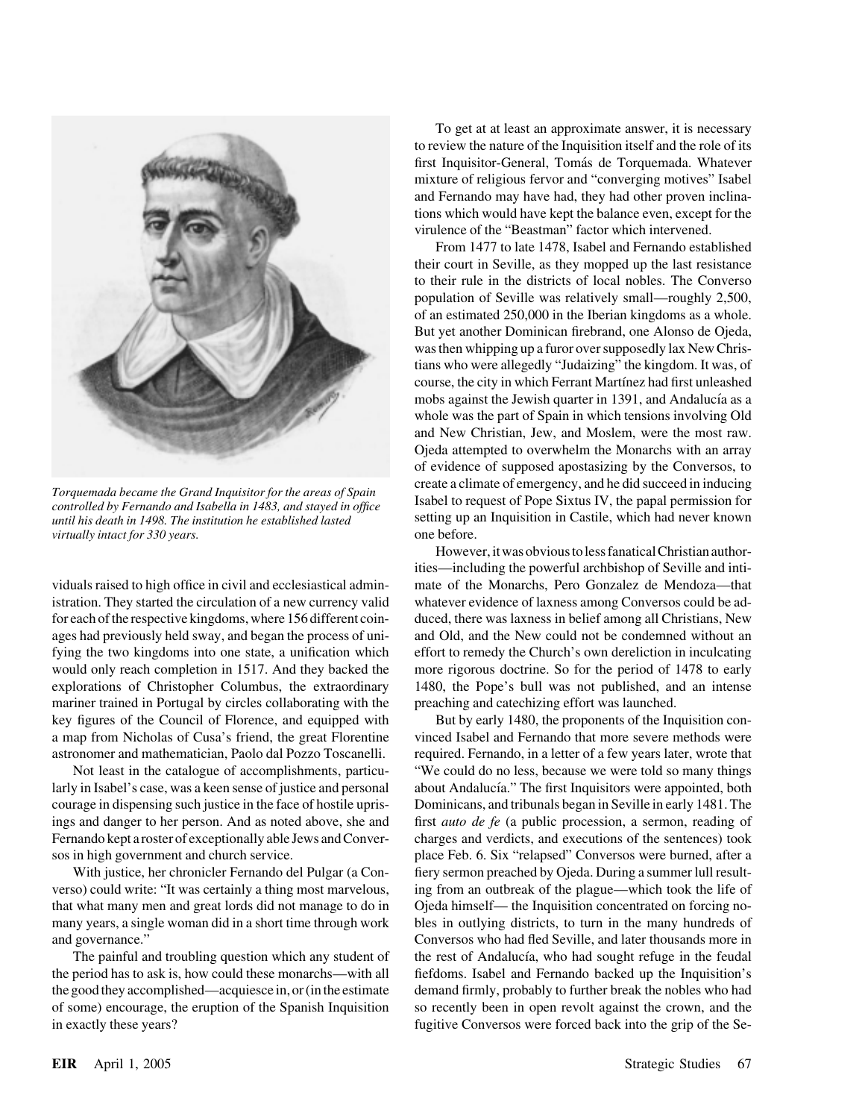

*virtually intact for 330 years.*  $\blacksquare$ 

mariner trained in Portugal by circles collaborating with the preaching and catechizing effort was launched.

To get at at least an approximate answer, it is necessary to review the nature of the Inquisition itself and the role of its first Inquisitor-General, Tomás de Torquemada. Whatever mixture of religious fervor and "converging motives" Isabel and Fernando may have had, they had other proven inclinations which would have kept the balance even, except for the virulence of the "Beastman" factor which intervened.

From 1477 to late 1478, Isabel and Fernando established their court in Seville, as they mopped up the last resistance to their rule in the districts of local nobles. The Converso population of Seville was relatively small—roughly 2,500, of an estimated 250,000 in the Iberian kingdoms as a whole. But yet another Dominican firebrand, one Alonso de Ojeda, was then whipping up a furor over supposedly lax New Christians who were allegedly "Judaizing" the kingdom. It was, of course, the city in which Ferrant Martínez had first unleashed mobs against the Jewish quarter in 1391, and Andalucía as a whole was the part of Spain in which tensions involving Old and New Christian, Jew, and Moslem, were the most raw. Ojeda attempted to overwhelm the Monarchs with an array of evidence of supposed apostasizing by the Conversos, to Torquemada became the Grand Inquisitor for the areas of Spain<br>controlled by Fernando and Isabella in 1483, and stayed in office Isabel to request of Pope Sixtus IV, the papal permission for *until his death in 1498. The institution he established lasted* setting up an Inquisition in Castile, which had never known

However, it was obvious to less fanatical Christian authorities—including the powerful archbishop of Seville and intividuals raised to high office in civil and ecclesiastical admin- mate of the Monarchs, Pero Gonzalez de Mendoza—that istration. They started the circulation of a new currency valid whatever evidence of laxness among Conversos could be adfor each of the respective kingdoms, where 156 different coin- duced, there was laxness in belief among all Christians, New ages had previously held sway, and began the process of uni- and Old, and the New could not be condemned without an fying the two kingdoms into one state, a unification which effort to remedy the Church's own dereliction in inculcating would only reach completion in 1517. And they backed the more rigorous doctrine. So for the period of 1478 to early explorations of Christopher Columbus, the extraordinary 1480, the Pope's bull was not published, and an intense

key figures of the Council of Florence, and equipped with But by early 1480, the proponents of the Inquisition cona map from Nicholas of Cusa's friend, the great Florentine vinced Isabel and Fernando that more severe methods were astronomer and mathematician, Paolo dal Pozzo Toscanelli. required. Fernando, in a letter of a few years later, wrote that Not least in the catalogue of accomplishments, particu- "We could do no less, because we were told so many things larly in Isabel's case, was a keen sense of justice and personal about Andalucía." The first Inquisitors were appointed, both courage in dispensing such justice in the face of hostile upris- Dominicans, and tribunals began in Seville in early 1481. The ings and danger to her person. And as noted above, she and first *auto de fe* (a public procession, a sermon, reading of Fernando kept a roster of exceptionally able Jews and Conver- charges and verdicts, and executions of the sentences) took sos in high government and church service. place Feb. 6. Six "relapsed" Conversos were burned, after a With justice, her chronicler Fernando del Pulgar (a Con- fiery sermon preached by Ojeda. During a summer lull resultverso) could write: "It was certainly a thing most marvelous, ing from an outbreak of the plague—which took the life of that what many men and great lords did not manage to do in Ojeda himself— the Inquisition concentrated on forcing nomany years, a single woman did in a short time through work bles in outlying districts, to turn in the many hundreds of and governance." Conversos who had fled Seville, and later thousands more in The painful and troubling question which any student of the rest of Andalucía, who had sought refuge in the feudal the period has to ask is, how could these monarchs—with all fiefdoms. Isabel and Fernando backed up the Inquisition's the good they accomplished—acquiesce in, or (in the estimate demand firmly, probably to further break the nobles who had of some) encourage, the eruption of the Spanish Inquisition so recently been in open revolt against the crown, and the in exactly these years? fugitive Conversos were forced back into the grip of the Se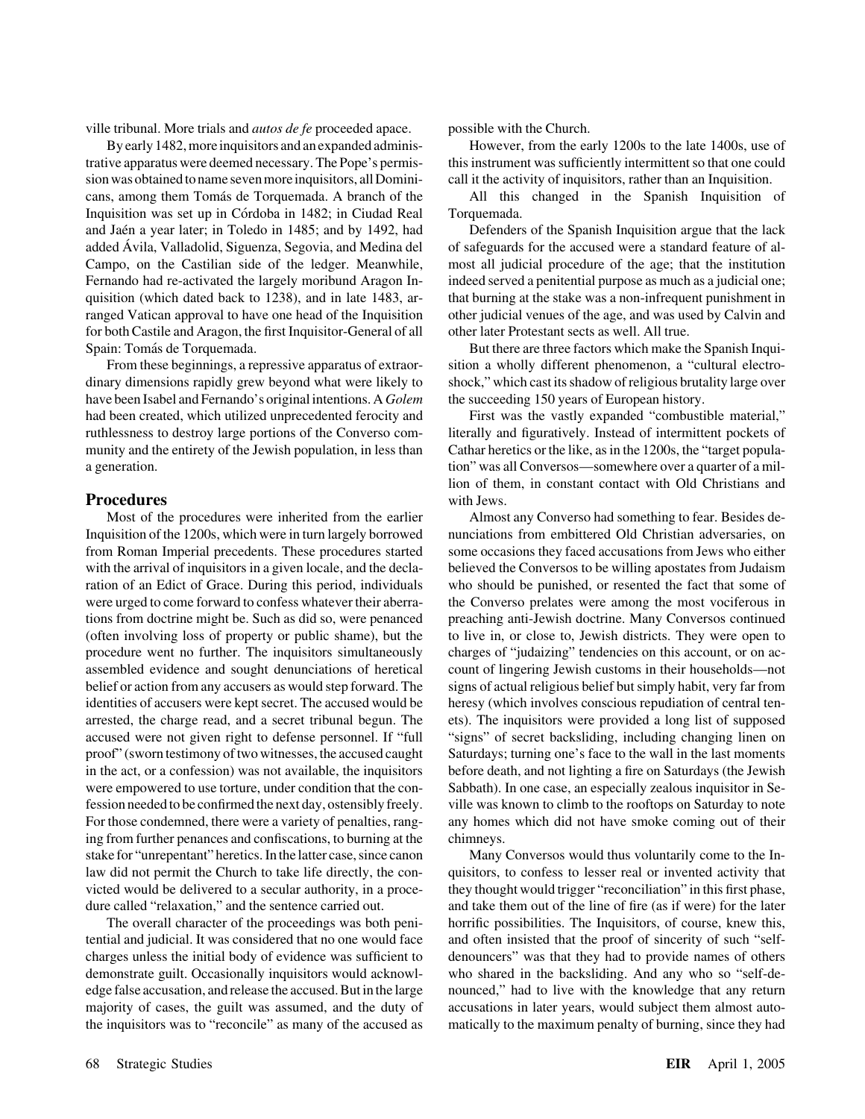ville tribunal. More trials and *autos de fe* proceeded apace. possible with the Church.

trative apparatus were deemed necessary. The Pope's permis- this instrument was sufficiently intermittent so that one could sion was obtained to name seven more inquisitors, all Domini- call it the activity of inquisitors, rather than an Inquisition. cans, among them Toma´s de Torquemada. A branch of the All this changed in the Spanish Inquisition of Inquisition was set up in Córdoba in 1482; in Ciudad Real Torquemada. and Jaén a year later; in Toledo in 1485; and by 1492, had Defenders of the Spanish Inquisition argue that the lack added Ávila, Valladolid, Siguenza, Segovia, and Medina del of safeguards for the accused were a standard feature of al-Campo, on the Castilian side of the ledger. Meanwhile, most all judicial procedure of the age; that the institution Fernando had re-activated the largely moribund Aragon In- indeed served a penitential purpose as much as a judicial one; quisition (which dated back to 1238), and in late 1483, ar- that burning at the stake was a non-infrequent punishment in ranged Vatican approval to have one head of the Inquisition other judicial venues of the age, and was used by Calvin and for both Castile and Aragon, the first Inquisitor-General of all other later Protestant sects as well. All true. Spain: Tomás de Torquemada. But there are three factors which make the Spanish Inqui-

dinary dimensions rapidly grew beyond what were likely to shock," which cast its shadow of religious brutality large over have been Isabel and Fernando's original intentions. A *Golem* the succeeding 150 years of European history. had been created, which utilized unprecedented ferocity and First was the vastly expanded "combustible material," ruthlessness to destroy large portions of the Converso com- literally and figuratively. Instead of intermittent pockets of munity and the entirety of the Jewish population, in less than Cathar heretics or the like, as in the 1200s, the "target populaa generation. tion" was all Conversos—somewhere over a quarter of a mil-

## **Procedures** with Jews.

Inquisition of the 1200s, which were in turn largely borrowed nunciations from embittered Old Christian adversaries, on from Roman Imperial precedents. These procedures started some occasions they faced accusations from Jews who either with the arrival of inquisitors in a given locale, and the decla-<br>believed the Conversos to be willing apostates from Judaism ration of an Edict of Grace. During this period, individuals who should be punished, or resented the fact that some of were urged to come forward to confess whatever their aberra- the Converso prelates were among the most vociferous in tions from doctrine might be. Such as did so, were penanced preaching anti-Jewish doctrine. Many Conversos continued (often involving loss of property or public shame), but the to live in, or close to, Jewish districts. They were open to procedure went no further. The inquisitors simultaneously charges of "judaizing" tendencies on this account, or on acassembled evidence and sought denunciations of heretical count of lingering Jewish customs in their households—not belief or action from any accusers as would step forward. The signs of actual religious belief but simply habit, very far from identities of accusers were kept secret. The accused would be heresy (which involves conscious repudiation of central tenarrested, the charge read, and a secret tribunal begun. The ets). The inquisitors were provided a long list of supposed accused were not given right to defense personnel. If "full "signs" of secret backsliding, including changing linen on proof" (sworn testimony of two witnesses, the accused caught Saturdays; turning one's face to the wall in the last moments in the act, or a confession) was not available, the inquisitors before death, and not lighting a fire on Saturdays (the Jewish were empowered to use torture, under condition that the con-<br>Sabbath). In one case, an especially zealous inquisitor in Sefession needed to be confirmed the next day, ostensibly freely. ville was known to climb to the rooftops on Saturday to note For those condemned, there were a variety of penalties, rang- any homes which did not have smoke coming out of their ing from further penances and confiscations, to burning at the chimneys. stake for "unrepentant" heretics. In the latter case, since canon Many Conversos would thus voluntarily come to the Inlaw did not permit the Church to take life directly, the con- quisitors, to confess to lesser real or invented activity that victed would be delivered to a secular authority, in a proce- they thought would trigger "reconciliation" in this first phase, dure called "relaxation," and the sentence carried out. and take them out of the line of fire (as if were) for the later

tential and judicial. It was considered that no one would face and often insisted that the proof of sincerity of such "selfcharges unless the initial body of evidence was sufficient to denouncers" was that they had to provide names of others demonstrate guilt. Occasionally inquisitors would acknowl- who shared in the backsliding. And any who so "self-deedge false accusation, and release the accused. But in the large nounced," had to live with the knowledge that any return majority of cases, the guilt was assumed, and the duty of accusations in later years, would subject them almost auto-

By early 1482, more inquisitors and an expanded adminis- However, from the early 1200s to the late 1400s, use of

From these beginnings, a repressive apparatus of extraor- sition a wholly different phenomenon, a "cultural electro-

lion of them, in constant contact with Old Christians and

Most of the procedures were inherited from the earlier Almost any Converso had something to fear. Besides de-

The overall character of the proceedings was both peni- horrific possibilities. The Inquisitors, of course, knew this, the inquisitors was to "reconcile" as many of the accused as matically to the maximum penalty of burning, since they had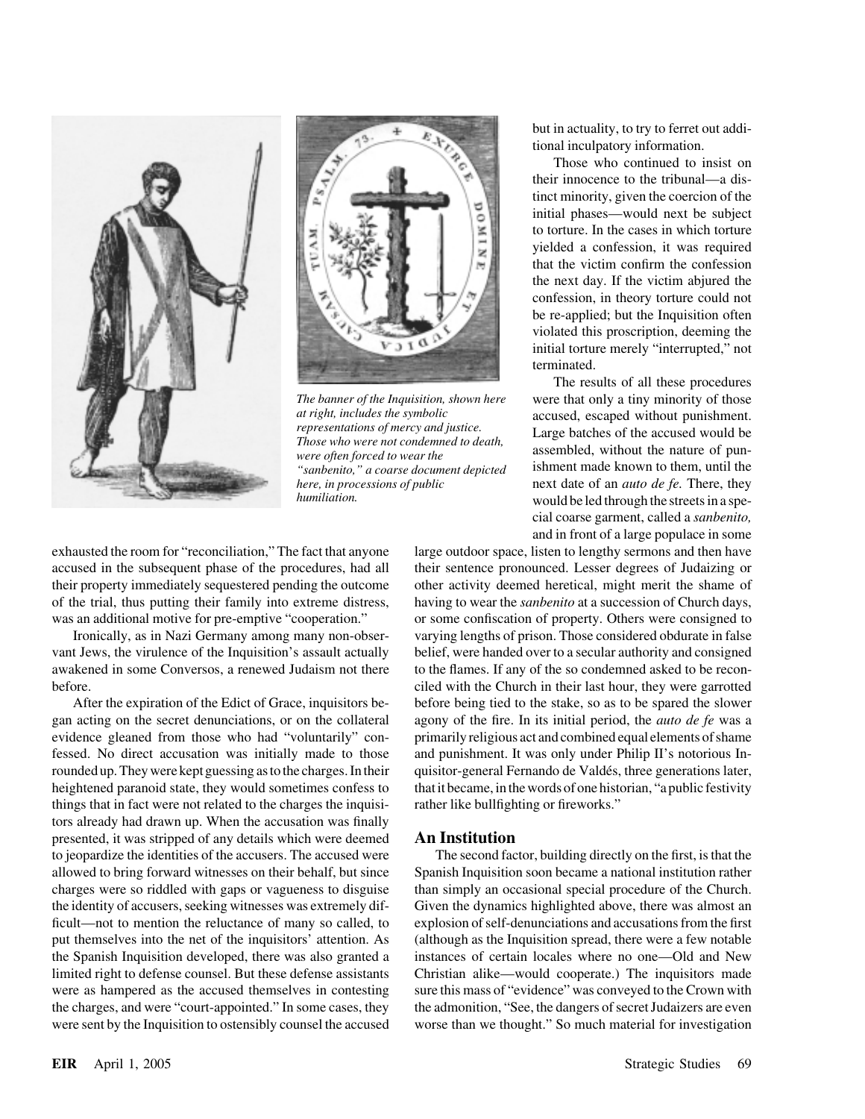



"sanbenito," a coarse document depicted

but in actuality, to try to ferret out additional inculpatory information.

Those who continued to insist on their innocence to the tribunal—a distinct minority, given the coercion of the initial phases—would next be subject to torture. In the cases in which torture yielded a confession, it was required that the victim confirm the confession the next day. If the victim abjured the confession, in theory torture could not be re-applied; but the Inquisition often violated this proscription, deeming the initial torture merely "interrupted," not terminated.

The results of all these procedures *The banner of the Inquisition, shown here* were that only a tiny minority of those *at right, includes the symbolic* accused escaped without punishment at right, includes the symbolic<br>representations of mercy and justice.<br>Those who were not condemned to death,<br>were often forced to wear the assembled, without the nature of pun-<br>"sanhenito." a coarse document denicted ishme *here, in processions of public* next date of an *auto de fe.* There, they *humiliation.* would be led through the streets in a special coarse garment, called a *sanbenito,* and in front of a large populace in some

exhausted the room for "reconciliation," The fact that anyone large outdoor space, listen to lengthy sermons and then have accused in the subsequent phase of the procedures, had all their sentence pronounced. Lesser degrees of Judaizing or their property immediately sequestered pending the outcome other activity deemed heretical, might merit the shame of of the trial, thus putting their family into extreme distress, having to wear the *sanbenito* at a succession of Church days, was an additional motive for pre-emptive "cooperation." or some confiscation of property. Others were consigned to

gan acting on the secret denunciations, or on the collateral agony of the fire. In its initial period, the *auto de fe* was a evidence gleaned from those who had "voluntarily" con- primarily religious act and combined equal elements of shame fessed. No direct accusation was initially made to those and punishment. It was only under Philip II's notorious Inrounded up. They were kept guessing as to the charges. In their quisitor-general Fernando de Valdés, three generations later, heightened paranoid state, they would sometimes confess to that it became, in the words of one historian, "a public festivity things that in fact were not related to the charges the inquisi- rather like bullfighting or fireworks." tors already had drawn up. When the accusation was finally presented, it was stripped of any details which were deemed **An Institution** to jeopardize the identities of the accusers. The accused were The second factor, building directly on the first, is that the allowed to bring forward witnesses on their behalf, but since Spanish Inquisition soon became a national institution rather charges were so riddled with gaps or vagueness to disguise than simply an occasional special procedure of the Church. the identity of accusers, seeking witnesses was extremely dif- Given the dynamics highlighted above, there was almost an ficult—not to mention the reluctance of many so called, to explosion of self-denunciations and accusations from the first put themselves into the net of the inquisitors' attention. As (although as the Inquisition spread, there were a few notable the Spanish Inquisition developed, there was also granted a instances of certain locales where no one—Old and New limited right to defense counsel. But these defense assistants Christian alike—would cooperate.) The inquisitors made were as hampered as the accused themselves in contesting sure this mass of "evidence" was conveyed to the Crown with the charges, and were "court-appointed." In some cases, they the admonition, "See, the dangers of secret Judaizers are even were sent by the Inquisition to ostensibly counsel the accused worse than we thought." So much material for investigation

Ironically, as in Nazi Germany among many non-obser- varying lengths of prison. Those considered obdurate in false vant Jews, the virulence of the Inquisition's assault actually belief, were handed over to a secular authority and consigned awakened in some Conversos, a renewed Judaism not there to the flames. If any of the so condemned asked to be reconbefore. ciled with the Church in their last hour, they were garrotted After the expiration of the Edict of Grace, inquisitors be- before being tied to the stake, so as to be spared the slower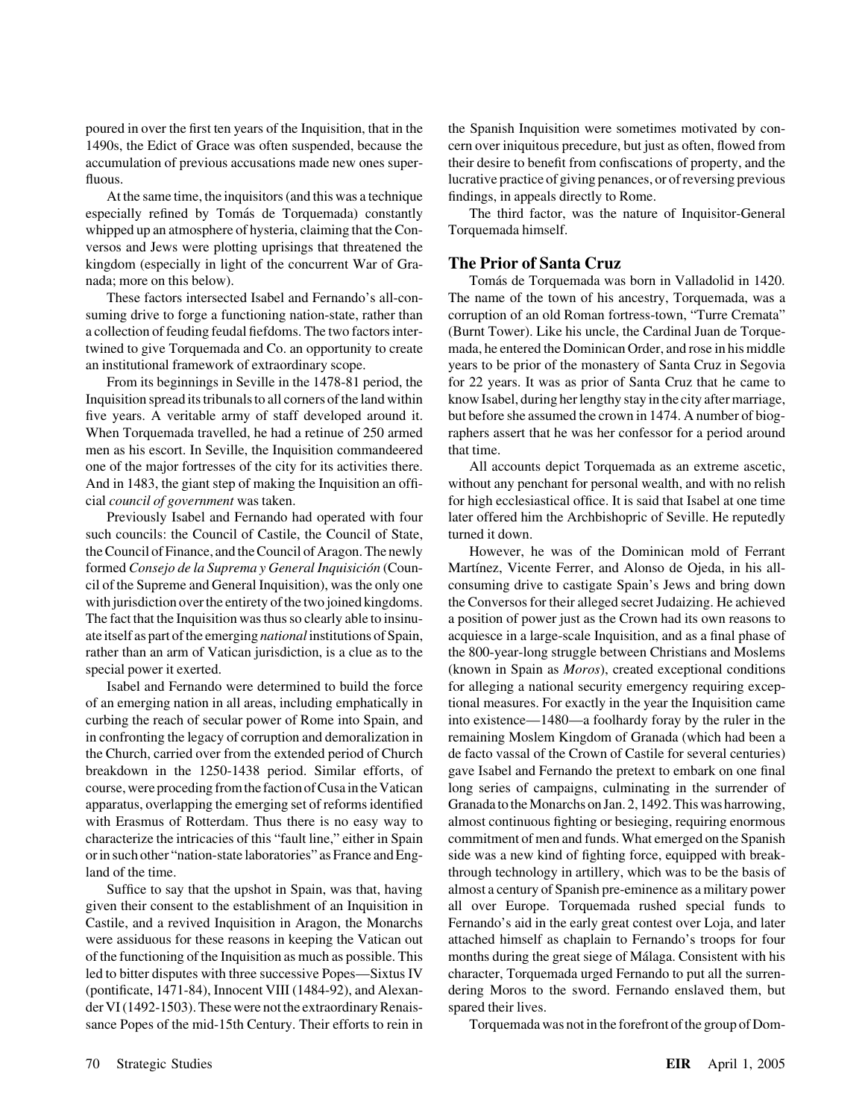At the same time, the inquisitors (and this was a technique findings, in appeals directly to Rome. especially refined by Toma´s de Torquemada) constantly The third factor, was the nature of Inquisitor-General whipped up an atmosphere of hysteria, claiming that the Con- Torquemada himself. versos and Jews were plotting uprisings that threatened the kingdom (especially in light of the concurrent War of Gra- **The Prior of Santa Cruz** nada; more on this below). Tomás de Torquemada was born in Valladolid in 1420.

suming drive to forge a functioning nation-state, rather than corruption of an old Roman fortress-town, "Turre Cremata" a collection of feuding feudal fiefdoms. The two factors inter- (Burnt Tower). Like his uncle, the Cardinal Juan de Torquetwined to give Torquemada and Co. an opportunity to create mada, he entered the Dominican Order, and rose in his middle an institutional framework of extraordinary scope. years to be prior of the monastery of Santa Cruz in Segovia

Inquisition spread its tribunals to all corners of the land within know Isabel, during her lengthy stay in the city after marriage, five years. A veritable army of staff developed around it. but before she assumed the crown in 1474. A number of biog-When Torquemada travelled, he had a retinue of 250 armed raphers assert that he was her confessor for a period around men as his escort. In Seville, the Inquisition commandeered that time. one of the major fortresses of the city for its activities there. All accounts depict Torquemada as an extreme ascetic, And in 1483, the giant step of making the Inquisition an offi- without any penchant for personal wealth, and with no relish cial *council of government* was taken. for high ecclesiastical office. It is said that Isabel at one time

such councils: the Council of Castile, the Council of State, turned it down. the Council of Finance, and the Council of Aragon. The newly However, he was of the Dominican mold of Ferrant formed *Consejo de la Suprema y General Inquisicio´n* (Coun- Mart´ınez, Vicente Ferrer, and Alonso de Ojeda, in his allcil of the Supreme and General Inquisition), was the only one consuming drive to castigate Spain's Jews and bring down with jurisdiction over the entirety of the two joined kingdoms. the Conversos for their alleged secret Judaizing. He achieved The fact that the Inquisition was thus so clearly able to insinu- a position of power just as the Crown had its own reasons to ate itself as part of the emerging *national* institutions of Spain, acquiesce in a large-scale Inquisition, and as a final phase of rather than an arm of Vatican jurisdiction, is a clue as to the the 800-year-long struggle between Christians and Moslems special power it exerted. (known in Spain as *Moros*), created exceptional conditions

of an emerging nation in all areas, including emphatically in tional measures. For exactly in the year the Inquisition came curbing the reach of secular power of Rome into Spain, and into existence—1480—a foolhardy foray by the ruler in the in confronting the legacy of corruption and demoralization in remaining Moslem Kingdom of Granada (which had been a the Church, carried over from the extended period of Church de facto vassal of the Crown of Castile for several centuries) breakdown in the 1250-1438 period. Similar efforts, of gave Isabel and Fernando the pretext to embark on one final course, were proceding from the faction of Cusa in the Vatican long series of campaigns, culminating in the surrender of apparatus, overlapping the emerging set of reforms identified Granada to the Monarchs on Jan. 2, 1492. This was harrowing, with Erasmus of Rotterdam. Thus there is no easy way to almost continuous fighting or besieging, requiring enormous characterize the intricacies of this "fault line," either in Spain commitment of men and funds. What emerged on the Spanish or in such other "nation-state laboratories" as France and Eng- side was a new kind of fighting force, equipped with breakland of the time. through technology in artillery, which was to be the basis of

given their consent to the establishment of an Inquisition in all over Europe. Torquemada rushed special funds to Castile, and a revived Inquisition in Aragon, the Monarchs Fernando's aid in the early great contest over Loja, and later were assiduous for these reasons in keeping the Vatican out attached himself as chaplain to Fernando's troops for four of the functioning of the Inquisition as much as possible. This months during the great siege of Málaga. Consistent with his led to bitter disputes with three successive Popes—Sixtus IV character, Torquemada urged Fernando to put all the surren-(pontificate, 1471-84), Innocent VIII (1484-92), and Alexan- dering Moros to the sword. Fernando enslaved them, but der VI (1492-1503). These were not the extraordinary Renais- spared their lives. sance Popes of the mid-15th Century. Their efforts to rein in Torquemada was not in the forefront of the group of Dom-

poured in over the first ten years of the Inquisition, that in the the Spanish Inquisition were sometimes motivated by con-1490s, the Edict of Grace was often suspended, because the cern over iniquitous precedure, but just as often, flowed from accumulation of previous accusations made new ones super- their desire to benefit from confiscations of property, and the fluous. **lucrative practice of giving penances**, or of reversing previous

These factors intersected Isabel and Fernando's all-con- The name of the town of his ancestry, Torquemada, was a From its beginnings in Seville in the 1478-81 period, the for 22 years. It was as prior of Santa Cruz that he came to

Previously Isabel and Fernando had operated with four later offered him the Archbishopric of Seville. He reputedly

Isabel and Fernando were determined to build the force for alleging a national security emergency requiring excep-Suffice to say that the upshot in Spain, was that, having almost a century of Spanish pre-eminence as a military power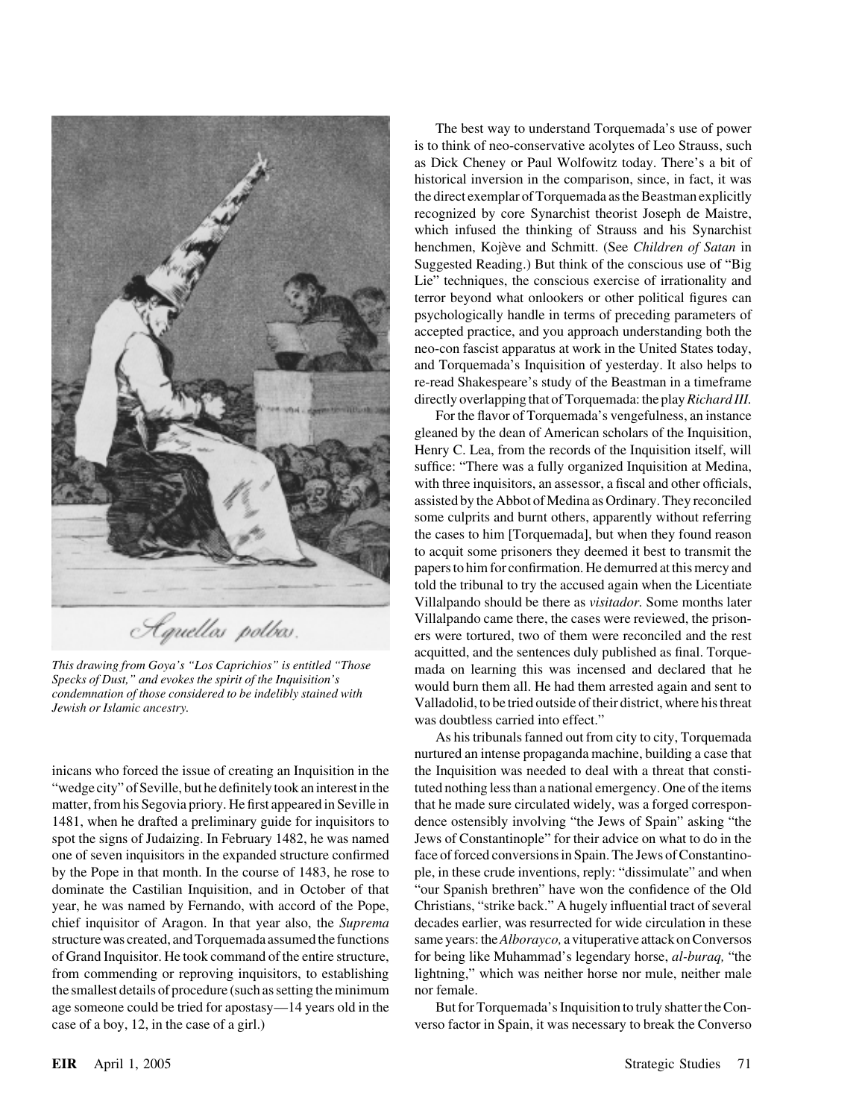

the smallest details of procedure (such as setting the minimum nor female. age someone could be tried for apostasy—14 years old in the But for Torquemada's Inquisition to truly shatter the Concase of a boy, 12, in the case of a girl.) verso factor in Spain, it was necessary to break the Converso

The best way to understand Torquemada's use of power is to think of neo-conservative acolytes of Leo Strauss, such as Dick Cheney or Paul Wolfowitz today. There's a bit of historical inversion in the comparison, since, in fact, it was the direct exemplar of Torquemada as the Beastman explicitly recognized by core Synarchist theorist Joseph de Maistre, which infused the thinking of Strauss and his Synarchist henchmen, Kojève and Schmitt. (See *Children of Satan* in Suggested Reading.) But think of the conscious use of "Big Lie" techniques, the conscious exercise of irrationality and terror beyond what onlookers or other political figures can psychologically handle in terms of preceding parameters of accepted practice, and you approach understanding both the neo-con fascist apparatus at work in the United States today, and Torquemada's Inquisition of yesterday. It also helps to re-read Shakespeare's study of the Beastman in a timeframe directly overlapping that of Torquemada: the play*Richard III.*

For the flavor of Torquemada's vengefulness, an instance gleaned by the dean of American scholars of the Inquisition, Henry C. Lea, from the records of the Inquisition itself, will suffice: "There was a fully organized Inquisition at Medina, with three inquisitors, an assessor, a fiscal and other officials, assisted by the Abbot of Medina as Ordinary. They reconciled some culprits and burnt others, apparently without referring the cases to him [Torquemada], but when they found reason to acquit some prisoners they deemed it best to transmit the papers to him for confirmation. He demurred at this mercy and told the tribunal to try the accused again when the Licentiate Villalpando should be there as *visitador.* Some months later Villalpando came there, the cases were reviewed, the prisoners were tortured, two of them were reconciled and the rest acquitted, and the sentences duly published as final. Torque-This drawing from Goya's "Los Caprichios" is entitled "Those mada on learning this was incensed and declared that he Specks of Dust," and evokes the spirit of the Inquisition's condemnation of those considered to be indeli was doubtless carried into effect."

As his tribunals fanned out from city to city, Torquemada nurtured an intense propaganda machine, building a case that inicans who forced the issue of creating an Inquisition in the the Inquisition was needed to deal with a threat that consti-"wedge city" of Seville, but he definitely took an interest in the tuted nothing less than a national emergency. One of the items matter, from his Segovia priory. He first appeared in Seville in that he made sure circulated widely, was a forged correspon-1481, when he drafted a preliminary guide for inquisitors to dence ostensibly involving "the Jews of Spain" asking "the spot the signs of Judaizing. In February 1482, he was named Jews of Constantinople" for their advice on what to do in the one of seven inquisitors in the expanded structure confirmed face of forced conversions in Spain. The Jews of Constantinoby the Pope in that month. In the course of 1483, he rose to ple, in these crude inventions, reply: "dissimulate" and when dominate the Castilian Inquisition, and in October of that "our Spanish brethren" have won the confidence of the Old year, he was named by Fernando, with accord of the Pope, Christians, "strike back." A hugely influential tract of several chief inquisitor of Aragon. In that year also, the *Suprema* decades earlier, was resurrected for wide circulation in these structure was created, and Torquemada assumed the functions same years: the*Alborayco,* a vituperative attack on Conversos of Grand Inquisitor. He took command of the entire structure, for being like Muhammad's legendary horse, *al-buraq,* "the from commending or reproving inquisitors, to establishing lightning," which was neither horse nor mule, neither male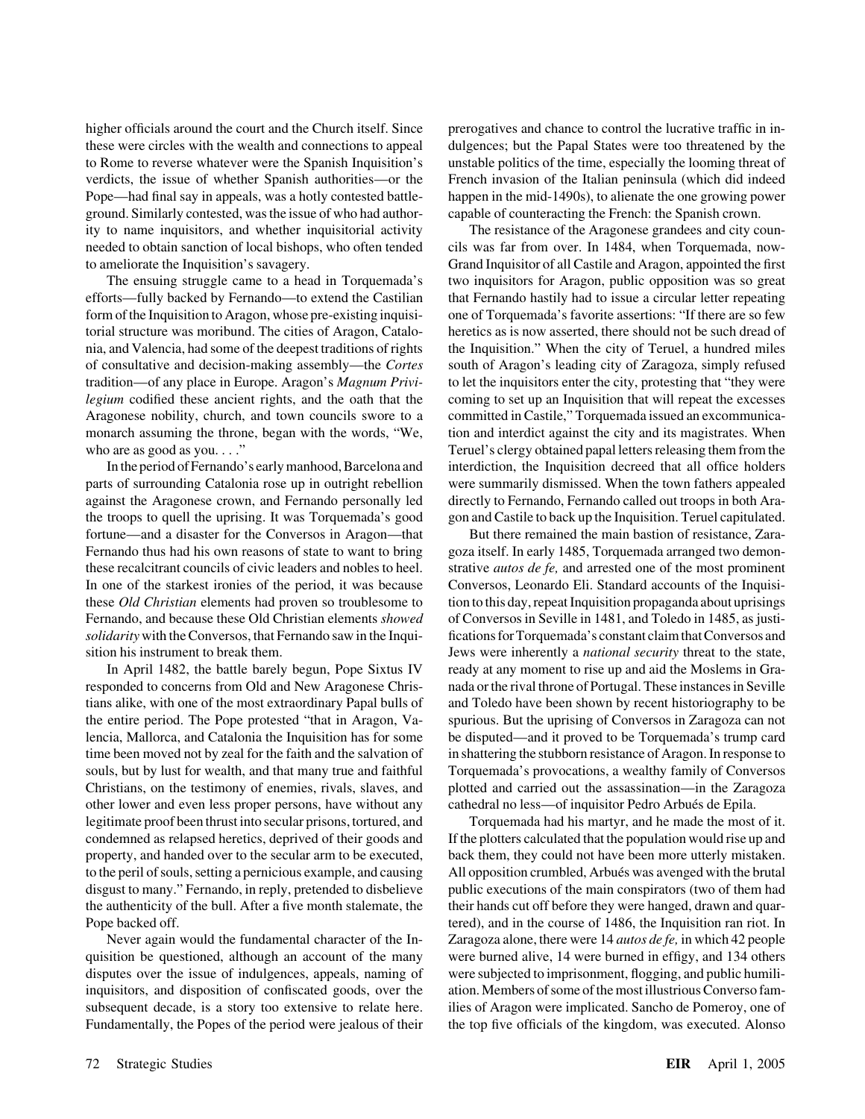these were circles with the wealth and connections to appeal dulgences; but the Papal States were too threatened by the to Rome to reverse whatever were the Spanish Inquisition's unstable politics of the time, especially the looming threat of verdicts, the issue of whether Spanish authorities—or the French invasion of the Italian peninsula (which did indeed Pope—had final say in appeals, was a hotly contested battle- happen in the mid-1490s), to alienate the one growing power ground. Similarly contested, was the issue of who had author- capable of counteracting the French: the Spanish crown. ity to name inquisitors, and whether inquisitorial activity The resistance of the Aragonese grandees and city counneeded to obtain sanction of local bishops, who often tended cils was far from over. In 1484, when Torquemada, now-

efforts—fully backed by Fernando—to extend the Castilian that Fernando hastily had to issue a circular letter repeating form of the Inquisition to Aragon, whose pre-existing inquisi- one of Torquemada's favorite assertions: "If there are so few torial structure was moribund. The cities of Aragon, Catalo- heretics as is now asserted, there should not be such dread of nia, and Valencia, had some of the deepest traditions of rights the Inquisition." When the city of Teruel, a hundred miles of consultative and decision-making assembly—the *Cortes* south of Aragon's leading city of Zaragoza, simply refused tradition—of any place in Europe. Aragon's *Magnum Privi-* to let the inquisitors enter the city, protesting that "they were *legium* codified these ancient rights, and the oath that the coming to set up an Inquisition that will repeat the excesses Aragonese nobility, church, and town councils swore to a committed in Castile," Torquemada issued an excommunicamonarch assuming the throne, began with the words, "We, tion and interdict against the city and its magistrates. When who are as good as you. . . ." Teruel's clergy obtained papal letters releasing them from the

parts of surrounding Catalonia rose up in outright rebellion were summarily dismissed. When the town fathers appealed against the Aragonese crown, and Fernando personally led directly to Fernando, Fernando called out troops in both Arathe troops to quell the uprising. It was Torquemada's good gon and Castile to back up the Inquisition. Teruel capitulated. fortune—and a disaster for the Conversos in Aragon—that But there remained the main bastion of resistance, Zara-Fernando thus had his own reasons of state to want to bring goza itself. In early 1485, Torquemada arranged two demonthese recalcitrant councils of civic leaders and nobles to heel. strative *autos de fe,* and arrested one of the most prominent In one of the starkest ironies of the period, it was because Conversos, Leonardo Eli. Standard accounts of the Inquisithese *Old Christian* elements had proven so troublesome to tion to this day, repeat Inquisition propaganda about uprisings Fernando, and because these Old Christian elements *showed* of Conversos in Seville in 1481, and Toledo in 1485, as justi*solidarity* with the Conversos, that Fernando saw in the Inqui- fications for Torquemada's constant claim that Conversos and sition his instrument to break them. **Jews were inherently** a *national security* threat to the state,

responded to concerns from Old and New Aragonese Chris- nada or the rival throne of Portugal. These instances in Seville tians alike, with one of the most extraordinary Papal bulls of and Toledo have been shown by recent historiography to be the entire period. The Pope protested "that in Aragon, Va- spurious. But the uprising of Conversos in Zaragoza can not lencia, Mallorca, and Catalonia the Inquisition has for some be disputed—and it proved to be Torquemada's trump card time been moved not by zeal for the faith and the salvation of in shattering the stubborn resistance of Aragon. In response to souls, but by lust for wealth, and that many true and faithful Torquemada's provocations, a wealthy family of Conversos Christians, on the testimony of enemies, rivals, slaves, and plotted and carried out the assassination—in the Zaragoza other lower and even less proper persons, have without any cathedral no less—of inquisitor Pedro Arbués de Epila. legitimate proof been thrust into secular prisons, tortured, and Torquemada had his martyr, and he made the most of it. condemned as relapsed heretics, deprived of their goods and If the plotters calculated that the population would rise up and property, and handed over to the secular arm to be executed, back them, they could not have been more utterly mistaken. to the peril of souls, setting a pernicious example, and causing All opposition crumbled, Arbués was avenged with the brutal disgust to many." Fernando, in reply, pretended to disbelieve public executions of the main conspirators (two of them had the authenticity of the bull. After a five month stalemate, the their hands cut off before they were hanged, drawn and quar-Pope backed off. the course of 1486, the Inquisition ran riot. In

quisition be questioned, although an account of the many were burned alive, 14 were burned in effigy, and 134 others disputes over the issue of indulgences, appeals, naming of were subjected to imprisonment, flogging, and public humiliinquisitors, and disposition of confiscated goods, over the ation. Members of some of the most illustrious Converso famsubsequent decade, is a story too extensive to relate here. ilies of Aragon were implicated. Sancho de Pomeroy, one of Fundamentally, the Popes of the period were jealous of their the top five officials of the kingdom, was executed. Alonso

higher officials around the court and the Church itself. Since prerogatives and chance to control the lucrative traffic in in-

to ameliorate the Inquisition's savagery. Grand Inquisitor of all Castile and Aragon, appointed the first The ensuing struggle came to a head in Torquemada's two inquisitors for Aragon, public opposition was so great In the period of Fernando's early manhood, Barcelona and interdiction, the Inquisition decreed that all office holders

In April 1482, the battle barely begun, Pope Sixtus IV ready at any moment to rise up and aid the Moslems in Gra-

Never again would the fundamental character of the In- Zaragoza alone, there were 14 *autos de fe,* in which 42 people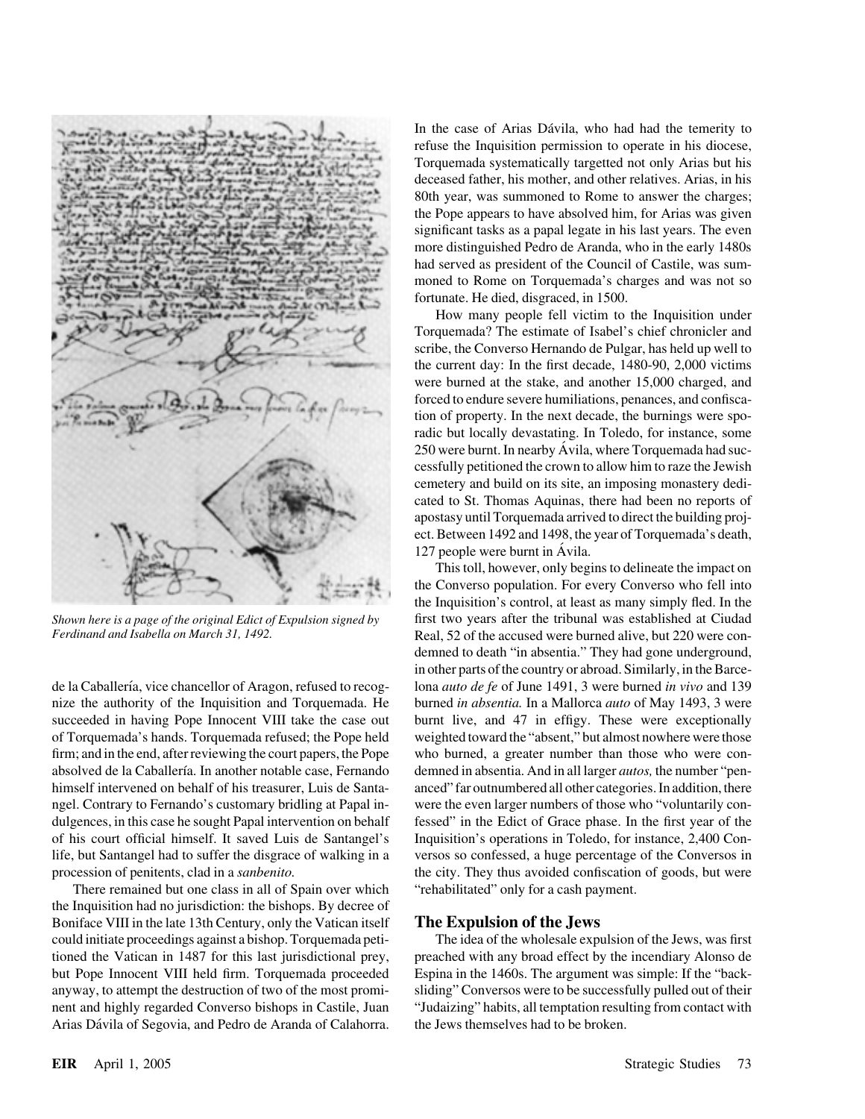de la Caballería, vice chancellor of Aragon, refused to recog- lona *auto de fe* of June 1491, 3 were burned *in vivo* and 139 nize the authority of the Inquisition and Torquemada. He burned *in absentia.* In a Mallorca *auto* of May 1493, 3 were succeeded in having Pope Innocent VIII take the case out burnt live, and 47 in effigy. These were exceptionally of Torquemada's hands. Torquemada refused; the Pope held weighted toward the "absent," but almost nowhere were those firm; and in the end, after reviewing the court papers, the Pope who burned, a greater number than those who were conabsolved de la Caballería. In another notable case, Fernando demned in absentia. And in all larger *autos*, the number "penhimself intervened on behalf of his treasurer, Luis de Santa- anced" far outnumbered all other categories. In addition, there ngel. Contrary to Fernando's customary bridling at Papal in- were the even larger numbers of those who "voluntarily condulgences, in this case he sought Papal intervention on behalf fessed" in the Edict of Grace phase. In the first year of the of his court official himself. It saved Luis de Santangel's Inquisition's operations in Toledo, for instance, 2,400 Conlife, but Santangel had to suffer the disgrace of walking in a versos so confessed, a huge percentage of the Conversos in procession of penitents, clad in a *sanbenito.* the city. They thus avoided confiscation of goods, but were

There remained but one class in all of Spain over which "rehabilitated" only for a cash payment. the Inquisition had no jurisdiction: the bishops. By decree of Boniface VIII in the late 13th Century, only the Vatican itself **The Expulsion of the Jews** could initiate proceedings against a bishop. Torquemada peti- The idea of the wholesale expulsion of the Jews, was first Arias Dávila of Segovia, and Pedro de Aranda of Calahorra. the Jews themselves had to be broken.

In the case of Arias Dávila, who had had the temerity to refuse the Inquisition permission to operate in his diocese, Torquemada systematically targetted not only Arias but his deceased father, his mother, and other relatives. Arias, in his 80th year, was summoned to Rome to answer the charges; the Pope appears to have absolved him, for Arias was given significant tasks as a papal legate in his last years. The even more distinguished Pedro de Aranda, who in the early 1480s had served as president of the Council of Castile, was summoned to Rome on Torquemada's charges and was not so fortunate. He died, disgraced, in 1500.

How many people fell victim to the Inquisition under Torquemada? The estimate of Isabel's chief chronicler and scribe, the Converso Hernando de Pulgar, has held up well to the current day: In the first decade, 1480-90, 2,000 victims were burned at the stake, and another 15,000 charged, and forced to endure severe humiliations, penances, and confiscation of property. In the next decade, the burnings were sporadic but locally devastating. In Toledo, for instance, some 250 were burnt. In nearby Ávila, where Torquemada had successfully petitioned the crown to allow him to raze the Jewish cemetery and build on its site, an imposing monastery dedicated to St. Thomas Aquinas, there had been no reports of apostasy until Torquemada arrived to direct the building project. Between 1492 and 1498, the year of Torquemada's death,  $127$  people were burnt in Ávila.

This toll, however, only begins to delineate the impact on the Converso population. For every Converso who fell into the Inquisition's control, at least as many simply fled. In the *Shown here is a page of the original Edict of Expulsion signed by* first two years after the tribunal was established at Ciudad Ferdinand and Isabella on March 31, 1492. Real, 52 of the accused were burned alive, but 220 were condemned to death "in absentia." They had gone underground, in other parts of the country or abroad. Similarly, in the Barce-

tioned the Vatican in 1487 for this last jurisdictional prey, preached with any broad effect by the incendiary Alonso de but Pope Innocent VIII held firm. Torquemada proceeded Espina in the 1460s. The argument was simple: If the "backanyway, to attempt the destruction of two of the most promi- sliding" Conversos were to be successfully pulled out of their nent and highly regarded Converso bishops in Castile, Juan "Judaizing" habits, all temptation resulting from contact with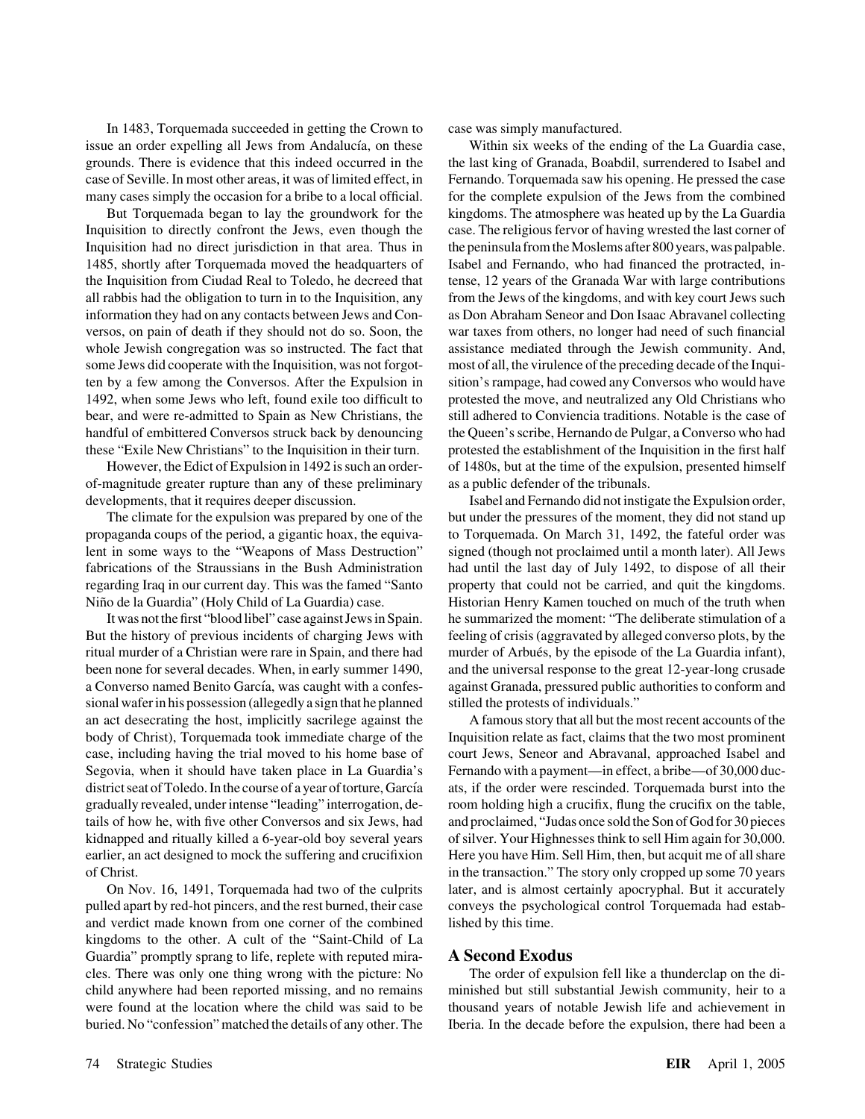In 1483, Torquemada succeeded in getting the Crown to case was simply manufactured. issue an order expelling all Jews from Andalucía, on these Within six weeks of the ending of the La Guardia case, case of Seville. In most other areas, it was of limited effect, in Fernando. Torquemada saw his opening. He pressed the case

Inquisition to directly confront the Jews, even though the case. The religious fervor of having wrested the last corner of Inquisition had no direct jurisdiction in that area. Thus in the peninsula from the Moslems after 800 years, was palpable. 1485, shortly after Torquemada moved the headquarters of Isabel and Fernando, who had financed the protracted, inthe Inquisition from Ciudad Real to Toledo, he decreed that tense, 12 years of the Granada War with large contributions all rabbis had the obligation to turn in to the Inquisition, any from the Jews of the kingdoms, and with key court Jews such information they had on any contacts between Jews and Con- as Don Abraham Seneor and Don Isaac Abravanel collecting versos, on pain of death if they should not do so. Soon, the war taxes from others, no longer had need of such financial whole Jewish congregation was so instructed. The fact that assistance mediated through the Jewish community. And, some Jews did cooperate with the Inquisition, was not forgot- most of all, the virulence of the preceding decade of the Inquiten by a few among the Conversos. After the Expulsion in sition's rampage, had cowed any Conversos who would have 1492, when some Jews who left, found exile too difficult to protested the move, and neutralized any Old Christians who bear, and were re-admitted to Spain as New Christians, the still adhered to Conviencia traditions. Notable is the case of handful of embittered Conversos struck back by denouncing the Queen's scribe, Hernando de Pulgar, a Converso who had

of-magnitude greater rupture than any of these preliminary as a public defender of the tribunals.

propaganda coups of the period, a gigantic hoax, the equiva- to Torquemada. On March 31, 1492, the fateful order was lent in some ways to the "Weapons of Mass Destruction" signed (though not proclaimed until a month later). All Jews fabrications of the Straussians in the Bush Administration had until the last day of July 1492, to dispose of all their regarding Iraq in our current day. This was the famed "Santo property that could not be carried, and quit the kingdoms. Niño de la Guardia" (Holy Child of La Guardia) case. Historian Henry Kamen touched on much of the truth when

But the history of previous incidents of charging Jews with feeling of crisis (aggravated by alleged converso plots, by the ritual murder of a Christian were rare in Spain, and there had murder of Arbués, by the episode of the La Guardia infant), been none for several decades. When, in early summer 1490, and the universal response to the great 12-year-long crusade a Converso named Benito García, was caught with a confes-<br>
against Granada, pressured public authorities to conform and sional wafer in his possession (allegedly a sign that he planned stilled the protests of individuals." an act desecrating the host, implicitly sacrilege against the A famous story that all but the most recent accounts of the body of Christ), Torquemada took immediate charge of the Inquisition relate as fact, claims that the two most prominent case, including having the trial moved to his home base of court Jews, Seneor and Abravanal, approached Isabel and Segovia, when it should have taken place in La Guardia's Fernando with a payment—in effect, a bribe—of 30,000 ducdistrict seat of Toledo. In the course of a year of torture, García ats, if the order were rescinded. Torquemada burst into the gradually revealed, under intense "leading" interrogation, de- room holding high a crucifix, flung the crucifix on the table, tails of how he, with five other Conversos and six Jews, had and proclaimed, "Judas once sold the Son of God for 30 pieces kidnapped and ritually killed a 6-year-old boy several years of silver. Your Highnesses think to sell Him again for 30,000. earlier, an act designed to mock the suffering and crucifixion Here you have Him. Sell Him, then, but acquit me of all share of Christ. in the transaction." The story only cropped up some 70 years

pulled apart by red-hot pincers, and the rest burned, their case conveys the psychological control Torquemada had estaband verdict made known from one corner of the combined lished by this time. kingdoms to the other. A cult of the "Saint-Child of La Guardia" promptly sprang to life, replete with reputed mira- **A Second Exodus** cles. There was only one thing wrong with the picture: No The order of expulsion fell like a thunderclap on the dichild anywhere had been reported missing, and no remains minished but still substantial Jewish community, heir to a were found at the location where the child was said to be thousand years of notable Jewish life and achievement in buried. No "confession" matched the details of any other. The Iberia. In the decade before the expulsion, there had been a

grounds. There is evidence that this indeed occurred in the the last king of Granada, Boabdil, surrendered to Isabel and many cases simply the occasion for a bribe to a local official. for the complete expulsion of the Jews from the combined But Torquemada began to lay the groundwork for the kingdoms. The atmosphere was heated up by the La Guardia these "Exile New Christians" to the Inquisition in their turn. protested the establishment of the Inquisition in the first half However, the Edict of Expulsion in 1492 is such an order- of 1480s, but at the time of the expulsion, presented himself

developments, that it requires deeper discussion. Isabel and Fernando did not instigate the Expulsion order, The climate for the expulsion was prepared by one of the but under the pressures of the moment, they did not stand up It was not the first "blood libel" case against Jews in Spain. he summarized the moment: "The deliberate stimulation of a

On Nov. 16, 1491, Torquemada had two of the culprits later, and is almost certainly apocryphal. But it accurately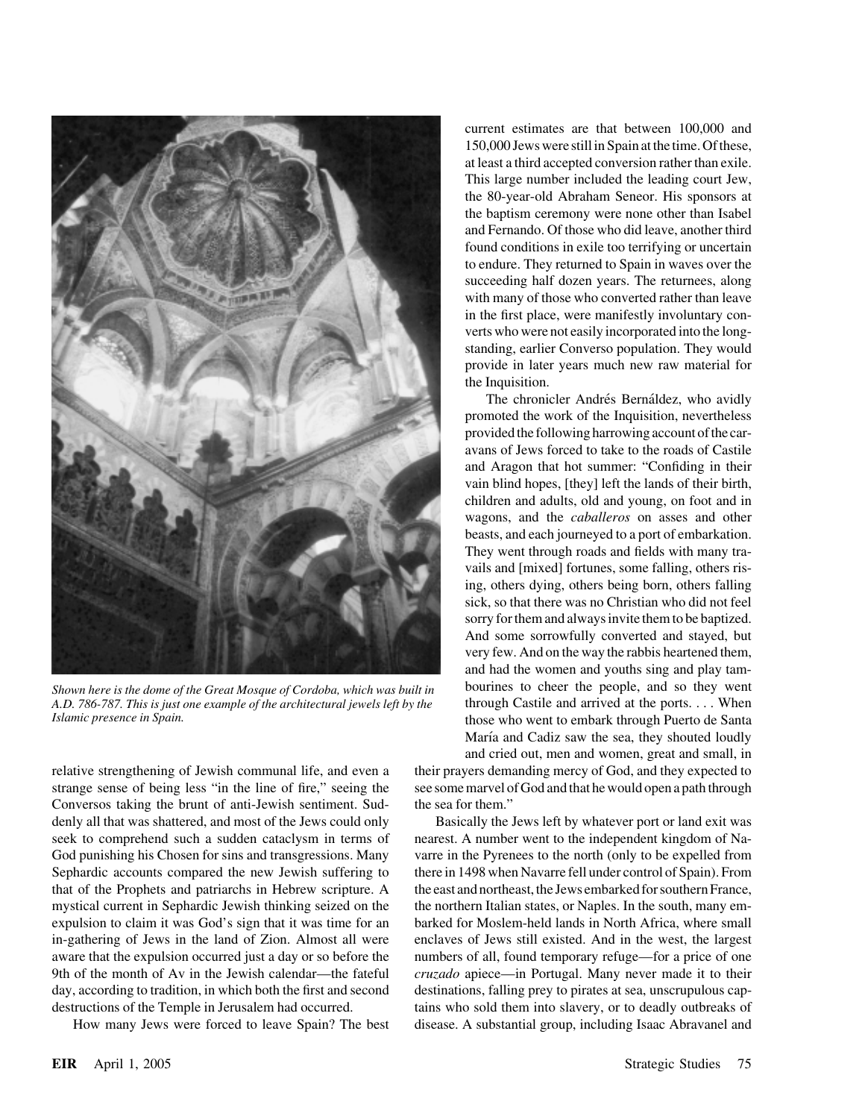

*Shown here is the dome of the Great Mosque of Cordoba, which was built in* bourines to cheer the people, and so they went *A.D. 786-787. This is just one example of the architectural jewels left by the* through Castile an *A.D. 786-787. This is just one example of the architectural jewels left by the Islamic presence in Spain.* 

relative strengthening of Jewish communal life, and even a their prayers demanding mercy of God, and they expected to strange sense of being less "in the line of fire," seeing the see some marvel of God and that he would open a path through Conversos taking the brunt of anti-Jewish sentiment. Sud- the sea for them." denly all that was shattered, and most of the Jews could only Basically the Jews left by whatever port or land exit was seek to comprehend such a sudden cataclysm in terms of nearest. A number went to the independent kingdom of Na-God punishing his Chosen for sins and transgressions. Many varre in the Pyrenees to the north (only to be expelled from Sephardic accounts compared the new Jewish suffering to there in 1498 when Navarre fell under control of Spain). From that of the Prophets and patriarchs in Hebrew scripture. A the east and northeast, the Jews embarked for southern France, mystical current in Sephardic Jewish thinking seized on the the northern Italian states, or Naples. In the south, many emexpulsion to claim it was God's sign that it was time for an barked for Moslem-held lands in North Africa, where small in-gathering of Jews in the land of Zion. Almost all were enclaves of Jews still existed. And in the west, the largest aware that the expulsion occurred just a day or so before the numbers of all, found temporary refuge—for a price of one 9th of the month of Av in the Jewish calendar—the fateful *cruzado* apiece—in Portugal. Many never made it to their day, according to tradition, in which both the first and second destinations, falling prey to pirates at sea, unscrupulous capdestructions of the Temple in Jerusalem had occurred. tains who sold them into slavery, or to deadly outbreaks of

current estimates are that between 100,000 and 150,000 Jews were still in Spain at the time. Of these, at least a third accepted conversion rather than exile. This large number included the leading court Jew, the 80-year-old Abraham Seneor. His sponsors at the baptism ceremony were none other than Isabel and Fernando. Of those who did leave, another third found conditions in exile too terrifying or uncertain to endure. They returned to Spain in waves over the succeeding half dozen years. The returnees, along with many of those who converted rather than leave in the first place, were manifestly involuntary converts who were not easily incorporated into the longstanding, earlier Converso population. They would provide in later years much new raw material for the Inquisition.

The chronicler Andrés Bernáldez, who avidly promoted the work of the Inquisition, nevertheless provided the following harrowing account of the caravans of Jews forced to take to the roads of Castile and Aragon that hot summer: "Confiding in their vain blind hopes, [they] left the lands of their birth, children and adults, old and young, on foot and in wagons, and the *caballeros* on asses and other beasts, and each journeyed to a port of embarkation. They went through roads and fields with many travails and [mixed] fortunes, some falling, others rising, others dying, others being born, others falling sick, so that there was no Christian who did not feel sorry for them and always invite them to be baptized. And some sorrowfully converted and stayed, but very few. And on the way the rabbis heartened them, and had the women and youths sing and play tam-*Islamic presence in Spain.* those who went to embark through Puerto de Santa María and Cadiz saw the sea, they shouted loudly and cried out, men and women, great and small, in

How many Jews were forced to leave Spain? The best disease. A substantial group, including Isaac Abravanel and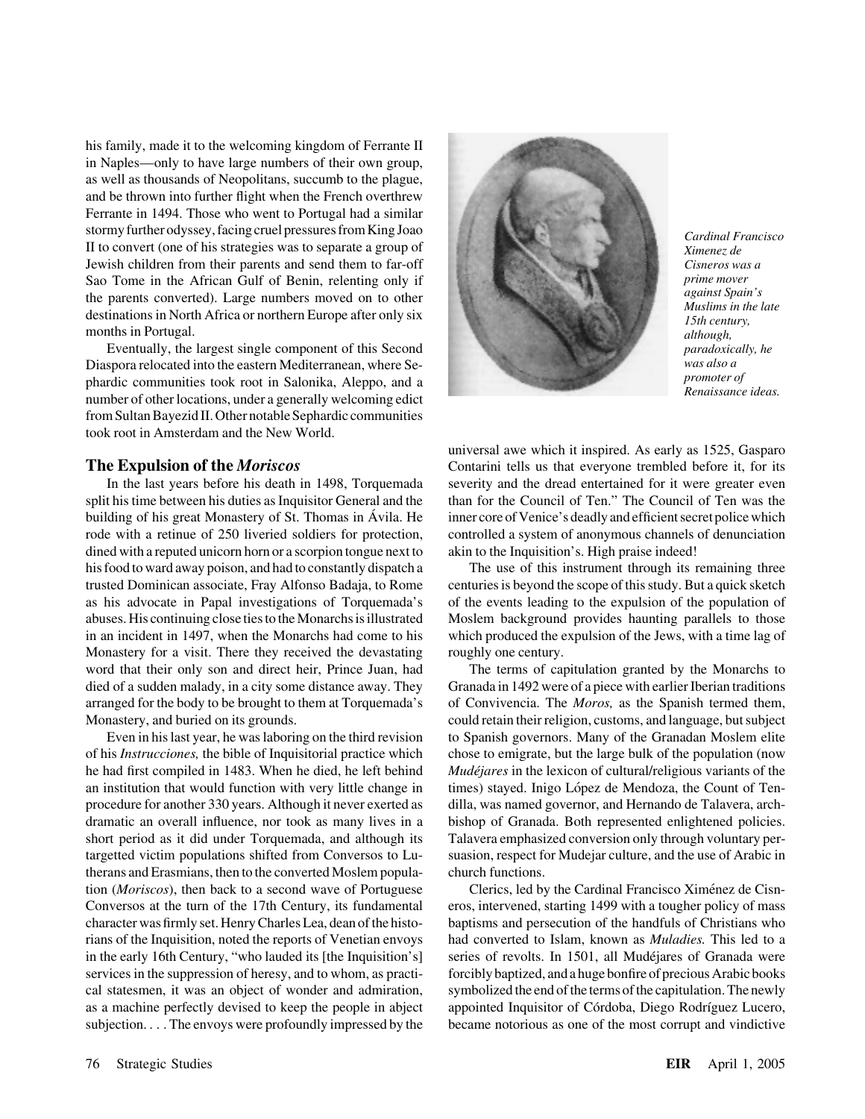his family, made it to the welcoming kingdom of Ferrante II in Naples—only to have large numbers of their own group, as well as thousands of Neopolitans, succumb to the plague, and be thrown into further flight when the French overthrew Ferrante in 1494. Those who went to Portugal had a similar stormy further odyssey, facingcruel pressures from King Joao *Cardinal Francisco* II to convert (one of his strategies was to separate a group of *Ximenez de* Jewish children from their parents and send them to far-off *Cisneros was a* Sao Tome in the African Gulf of Benin, relenting only if *prime mover*<br>the parents converted). Large numbers moved on to other *against Spain's* the parents converted). Large numbers moved on to other destinations in North Africa or northern Europe after only six<br>months in Portugal.<br>months in Portugal.

Eventually, the largest single component of this Second *paradoxically, he* Diaspora relocated into the eastern Mediterranean, where Se-<br>
phardic communities took root in Salonika, Alappo, and a *promoter of promoter of* phardic communities took root in Salonika, Aleppo, and a *promoter of Renaissance ideas. Renaissance ideas. Renaissance ideas.* from Sultan Bayezid II. Other notable Sephardic communities took root in Amsterdam and the New World.

split his time between his duties as Inquisitor General and the than for the Council of Ten." The Council of Ten was the building of his great Monastery of St. Thomas in Avila. He inner core of Venice's deadly and efficient secret police which rode with a retinue of 250 liveried soldiers for protection, controlled a system of anonymous channels of denunciation dined with a reputed unicorn horn or a scorpion tongue next to akin to the Inquisition's. High praise indeed! his food to ward away poison, and had to constantly dispatch a The use of this instrument through its remaining three trusted Dominican associate, Fray Alfonso Badaja, to Rome centuries is beyond the scope of this study. But a quick sketch as his advocate in Papal investigations of Torquemada's of the events leading to the expulsion of the population of abuses. His continuing close ties to the Monarchs is illustrated Moslem background provides haunting parallels to those in an incident in 1497, when the Monarchs had come to his which produced the expulsion of the Jews, with a time lag of Monastery for a visit. There they received the devastating roughly one century. word that their only son and direct heir, Prince Juan, had The terms of capitulation granted by the Monarchs to died of a sudden malady, in a city some distance away. They Granada in 1492 were of a piece with earlier Iberian traditions arranged for the body to be brought to them at Torquemada's of Convivencia. The *Moros,* as the Spanish termed them, Monastery, and buried on its grounds. could retain their religion, customs, and language, but subject

of his *Instrucciones,* the bible of Inquisitorial practice which chose to emigrate, but the large bulk of the population (now he had first compiled in 1483. When he died, he left behind *Mude´jares* in the lexicon of cultural/religious variants of the an institution that would function with very little change in times) stayed. Inigo López de Mendoza, the Count of Tenprocedure for another 330 years. Although it never exerted as dilla, was named governor, and Hernando de Talavera, archdramatic an overall influence, nor took as many lives in a bishop of Granada. Both represented enlightened policies. short period as it did under Torquemada, and although its Talavera emphasized conversion only through voluntary pertargetted victim populations shifted from Conversos to Lu- suasion, respect for Mudejar culture, and the use of Arabic in therans and Erasmians, then to the converted Moslem popula- church functions. tion (*Moriscos*), then back to a second wave of Portuguese Clerics, led by the Cardinal Francisco Ximénez de Cisn-Conversos at the turn of the 17th Century, its fundamental eros, intervened, starting 1499 with a tougher policy of mass character was firmly set. Henry Charles Lea, dean of the histo- baptisms and persecution of the handfuls of Christians who rians of the Inquisition, noted the reports of Venetian envoys had converted to Islam, known as *Muladies.* This led to a in the early 16th Century, "who lauded its [the Inquisition's] series of revolts. In 1501, all Mudéjares of Granada were services in the suppression of heresy, and to whom, as practi-<br>forcibly baptized, and a huge bonfire of precious Arabic books cal statesmen, it was an object of wonder and admiration, symbolized the end of the terms of the capitulation. The newly as a machine perfectly devised to keep the people in abject appointed Inquisitor of Córdoba, Diego Rodríguez Lucero,



universal awe which it inspired. As early as 1525, Gasparo **The Expulsion of the** *Moriscos* Contarini tells us that everyone trembled before it, for its In the last years before his death in 1498, Torquemada severity and the dread entertained for it were greater even

Even in his last year, he was laboring on the third revision to Spanish governors. Many of the Granadan Moslem elite

subjection. . . . The envoys were profoundly impressed by the became notorious as one of the most corrupt and vindictive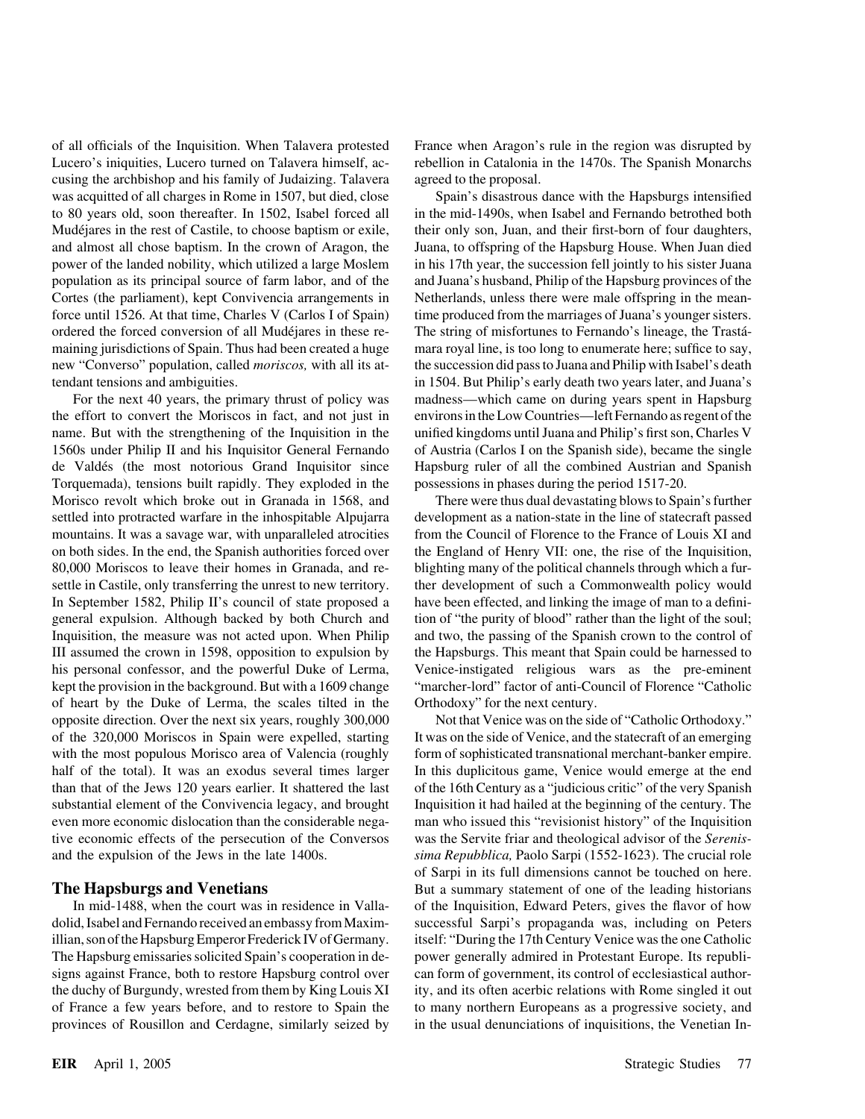of all officials of the Inquisition. When Talavera protested France when Aragon's rule in the region was disrupted by Lucero's iniquities, Lucero turned on Talavera himself, ac- rebellion in Catalonia in the 1470s. The Spanish Monarchs cusing the archbishop and his family of Judaizing. Talavera agreed to the proposal. was acquitted of all charges in Rome in 1507, but died, close Spain's disastrous dance with the Hapsburgs intensified to 80 years old, soon thereafter. In 1502, Isabel forced all in the mid-1490s, when Isabel and Fernando betrothed both Mudéjares in the rest of Castile, to choose baptism or exile, their only son, Juan, and their first-born of four daughters, and almost all chose baptism. In the crown of Aragon, the Juana, to offspring of the Hapsburg House. When Juan died power of the landed nobility, which utilized a large Moslem in his 17th year, the succession fell jointly to his sister Juana population as its principal source of farm labor, and of the and Juana's husband, Philip of the Hapsburg provinces of the Cortes (the parliament), kept Convivencia arrangements in Netherlands, unless there were male offspring in the meanforce until 1526. At that time, Charles V (Carlos I of Spain) time produced from the marriages of Juana's younger sisters. ordered the forced conversion of all Mudéjares in these re-<br>The string of misfortunes to Fernando's lineage, the Trasta<sup>--</sup> maining jurisdictions of Spain. Thus had been created a huge mara royal line, is too long to enumerate here; suffice to say, new "Converso" population, called *moriscos,* with all its at- the succession did pass to Juana and Philip with Isabel's death tendant tensions and ambiguities. in 1504. But Philip's early death two years later, and Juana's

the effort to convert the Moriscos in fact, and not just in environs in the Low Countries—left Fernando as regent of the name. But with the strengthening of the Inquisition in the unified kingdoms until Juana and Philip's first son, Charles V 1560s under Philip II and his Inquisitor General Fernando of Austria (Carlos I on the Spanish side), became the single de Valdés (the most notorious Grand Inquisitor since Hapsburg ruler of all the combined Austrian and Spanish Torquemada), tensions built rapidly. They exploded in the possessions in phases during the period 1517-20. Morisco revolt which broke out in Granada in 1568, and There were thus dual devastating blows to Spain's further settled into protracted warfare in the inhospitable Alpujarra development as a nation-state in the line of statecraft passed mountains. It was a savage war, with unparalleled atrocities from the Council of Florence to the France of Louis XI and on both sides. In the end, the Spanish authorities forced over the England of Henry VII: one, the rise of the Inquisition, 80,000 Moriscos to leave their homes in Granada, and re- blighting many of the political channels through which a fursettle in Castile, only transferring the unrest to new territory. ther development of such a Commonwealth policy would In September 1582, Philip II's council of state proposed a have been effected, and linking the image of man to a definigeneral expulsion. Although backed by both Church and tion of "the purity of blood" rather than the light of the soul; Inquisition, the measure was not acted upon. When Philip and two, the passing of the Spanish crown to the control of III assumed the crown in 1598, opposition to expulsion by the Hapsburgs. This meant that Spain could be harnessed to his personal confessor, and the powerful Duke of Lerma, Venice-instigated religious wars as the pre-eminent kept the provision in the background. But with a 1609 change "marcher-lord" factor of anti-Council of Florence "Catholic of heart by the Duke of Lerma, the scales tilted in the Orthodoxy" for the next century. opposite direction. Over the next six years, roughly 300,000 Not that Venice was on the side of "Catholic Orthodoxy." of the 320,000 Moriscos in Spain were expelled, starting It was on the side of Venice, and the statecraft of an emerging with the most populous Morisco area of Valencia (roughly form of sophisticated transnational merchant-banker empire. half of the total). It was an exodus several times larger In this duplicitous game, Venice would emerge at the end than that of the Jews 120 years earlier. It shattered the last of the 16th Century as a "judicious critic" of the very Spanish substantial element of the Convivencia legacy, and brought Inquisition it had hailed at the beginning of the century. The even more economic dislocation than the considerable nega- man who issued this "revisionist history" of the Inquisition tive economic effects of the persecution of the Conversos was the Servite friar and theological advisor of the *Serenis*and the expulsion of the Jews in the late 1400s. *sima Repubblica,* Paolo Sarpi (1552-1623). The crucial role

dolid, Isabel and Fernando received an embassy from Maxim- successful Sarpi's propaganda was, including on Peters illian, son of the Hapsburg Emperor Frederick IV of Germany. itself: "During the 17th Century Venice was the one Catholic The Hapsburg emissaries solicited Spain's cooperation in de- power generally admired in Protestant Europe. Its republisigns against France, both to restore Hapsburg control over can form of government, its control of ecclesiastical authorthe duchy of Burgundy, wrested from them by King Louis XI ity, and its often acerbic relations with Rome singled it out of France a few years before, and to restore to Spain the to many northern Europeans as a progressive society, and provinces of Rousillon and Cerdagne, similarly seized by in the usual denunciations of inquisitions, the Venetian In-

For the next 40 years, the primary thrust of policy was madness—which came on during years spent in Hapsburg

of Sarpi in its full dimensions cannot be touched on here. **The Hapsburgs and Venetians** But a summary statement of one of the leading historians In mid-1488, when the court was in residence in Valla- of the Inquisition, Edward Peters, gives the flavor of how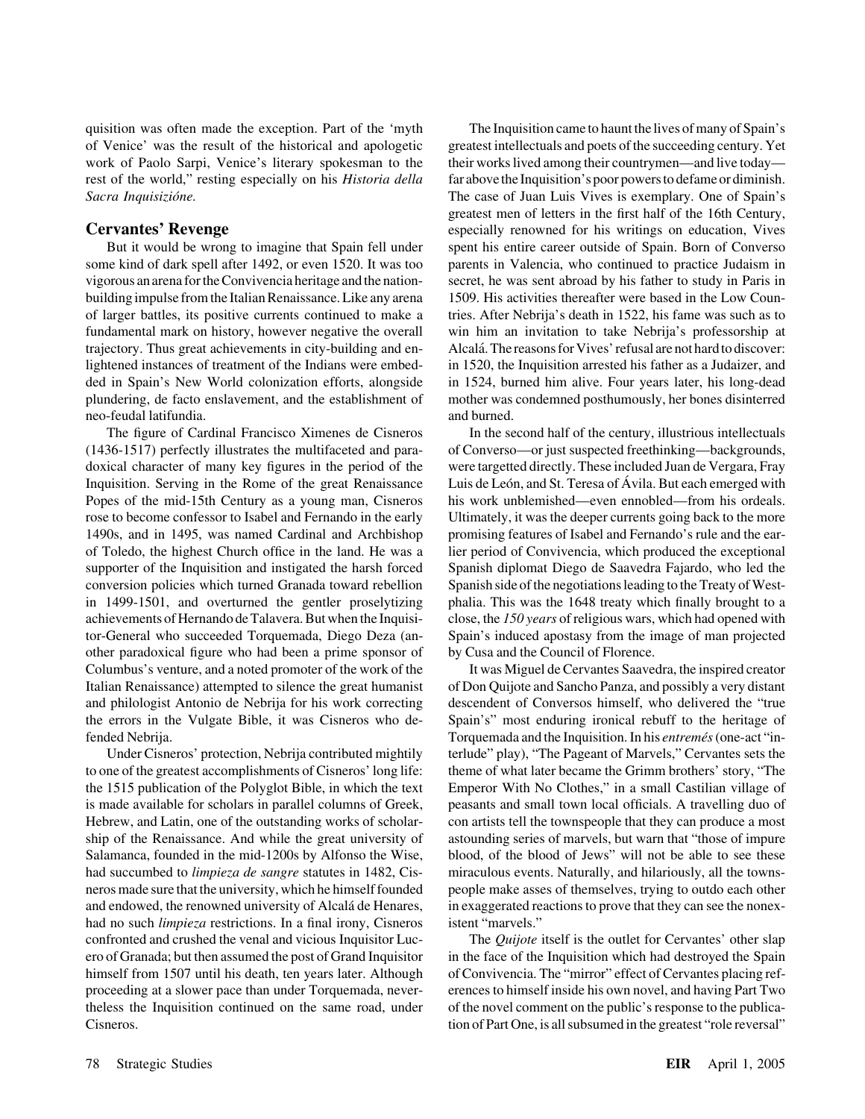quisition was often made the exception. Part of the 'myth The Inquisition came to haunt the lives of many of Spain's of Venice' was the result of the historical and apologetic greatest intellectuals and poets of the succeeding century. Yet work of Paolo Sarpi, Venice's literary spokesman to the their works lived among their countrymen—and live today rest of the world," resting especially on his *Historia della* far above the Inquisition's poor powers to defame or diminish. *Sacra Inquisizio´ne.* The case of Juan Luis Vives is exemplary. One of Spain's

some kind of dark spell after 1492, or even 1520. It was too parents in Valencia, who continued to practice Judaism in vigorous an arena for the Convivencia heritage and the nation- secret, he was sent abroad by his father to study in Paris in building impulse from the Italian Renaissance. Like any arena 1509. His activities thereafter were based in the Low Counof larger battles, its positive currents continued to make a tries. After Nebrija's death in 1522, his fame was such as to fundamental mark on history, however negative the overall win him an invitation to take Nebrija's professorship at trajectory. Thus great achievements in city-building and en-<br>Alcalá. The reasons for Vives' refusal are not hard to discover: lightened instances of treatment of the Indians were embed- in 1520, the Inquisition arrested his father as a Judaizer, and ded in Spain's New World colonization efforts, alongside in 1524, burned him alive. Four years later, his long-dead plundering, de facto enslavement, and the establishment of mother was condemned posthumously, her bones disinterred neo-feudal latifundia. and burned.

(1436-1517) perfectly illustrates the multifaceted and para- of Converso—or just suspected freethinking—backgrounds, doxical character of many key figures in the period of the were targetted directly. These included Juan de Vergara, Fray Inquisition. Serving in the Rome of the great Renaissance Luis de León, and St. Teresa of Avila. But each emerged with Popes of the mid-15th Century as a young man, Cisneros his work unblemished—even ennobled—from his ordeals. rose to become confessor to Isabel and Fernando in the early Ultimately, it was the deeper currents going back to the more 1490s, and in 1495, was named Cardinal and Archbishop promising features of Isabel and Fernando's rule and the earof Toledo, the highest Church office in the land. He was a lier period of Convivencia, which produced the exceptional supporter of the Inquisition and instigated the harsh forced Spanish diplomat Diego de Saavedra Fajardo, who led the conversion policies which turned Granada toward rebellion Spanish side of the negotiations leading to the Treaty of Westin 1499-1501, and overturned the gentler proselytizing phalia. This was the 1648 treaty which finally brought to a achievements of Hernando de Talavera. But when the Inquisi- close, the *150 years* of religious wars, which had opened with tor-General who succeeded Torquemada, Diego Deza (an- Spain's induced apostasy from the image of man projected other paradoxical figure who had been a prime sponsor of by Cusa and the Council of Florence. Columbus's venture, and a noted promoter of the work of the It was Miguel de Cervantes Saavedra, the inspired creator Italian Renaissance) attempted to silence the great humanist of Don Quijote and Sancho Panza, and possibly a very distant and philologist Antonio de Nebrija for his work correcting descendent of Conversos himself, who delivered the "true the errors in the Vulgate Bible, it was Cisneros who de- Spain's" most enduring ironical rebuff to the heritage of fended Nebrija. Torquemada and the Inquisition. In his *entreme´s*(one-act "in-

to one of the greatest accomplishments of Cisneros' long life: theme of what later became the Grimm brothers' story, "The the 1515 publication of the Polyglot Bible, in which the text Emperor With No Clothes," in a small Castilian village of is made available for scholars in parallel columns of Greek, peasants and small town local officials. A travelling duo of Hebrew, and Latin, one of the outstanding works of scholar- con artists tell the townspeople that they can produce a most ship of the Renaissance. And while the great university of astounding series of marvels, but warn that "those of impure Salamanca, founded in the mid-1200s by Alfonso the Wise, blood, of the blood of Jews" will not be able to see these had succumbed to *limpieza de sangre* statutes in 1482, Cis- miraculous events. Naturally, and hilariously, all the townsneros made sure that the university, which he himself founded people make asses of themselves, trying to outdo each other and endowed, the renowned university of Alcalá de Henares, in exaggerated reactions to prove that they can see the nonexhad no such *limpieza* restrictions. In a final irony, Cisneros istent "marvels." confronted and crushed the venal and vicious Inquisitor Luc- The *Quijote* itself is the outlet for Cervantes' other slap ero of Granada; but then assumed the post of Grand Inquisitor in the face of the Inquisition which had destroyed the Spain himself from 1507 until his death, ten years later. Although of Convivencia. The "mirror" effect of Cervantes placing refproceeding at a slower pace than under Torquemada, never- erences to himself inside his own novel, and having Part Two theless the Inquisition continued on the same road, under of the novel comment on the public's response to the publica-Cisneros. tion of Part One, is all subsumed in the greatest "role reversal"

greatest men of letters in the first half of the 16th Century, **Cervantes' Revenge** especially renowned for his writings on education, Vives But it would be wrong to imagine that Spain fell under spent his entire career outside of Spain. Born of Converso

The figure of Cardinal Francisco Ximenes de Cisneros In the second half of the century, illustrious intellectuals

Under Cisneros' protection, Nebrija contributed mightily terlude" play), "The Pageant of Marvels," Cervantes sets the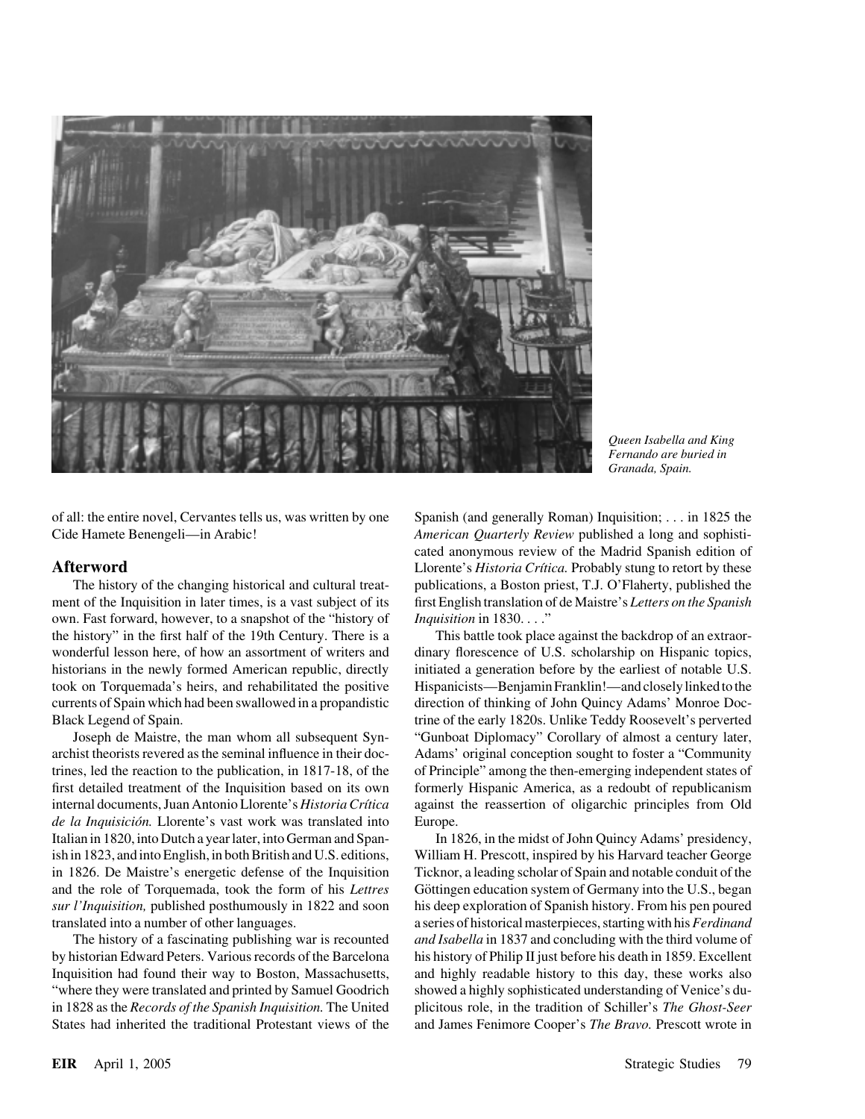

*Queen Isabella and King Fernando are buried in Granada, Spain.*

of all: the entire novel, Cervantes tells us, was written by one Spanish (and generally Roman) Inquisition; . . . in 1825 the

ment of the Inquisition in later times, is a vast subject of its first English translation of de Maistre's *Letters on the Spanish* own. Fast forward, however, to a snapshot of the "history of *Inquisition* in 1830. . . ." the history" in the first half of the 19th Century. There is a This battle took place against the backdrop of an extraorwonderful lesson here, of how an assortment of writers and dinary florescence of U.S. scholarship on Hispanic topics, historians in the newly formed American republic, directly initiated a generation before by the earliest of notable U.S. took on Torquemada's heirs, and rehabilitated the positive Hispanicists—Benjamin Franklin!—and closely linked to the currents of Spain which had been swallowed in a propandistic direction of thinking of John Quincy Adams' Monroe Doc-Black Legend of Spain. trine of the early 1820s. Unlike Teddy Roosevelt's perverted

archist theorists revered as the seminal influence in their doc- Adams' original conception sought to foster a "Community trines, led the reaction to the publication, in 1817-18, of the of Principle" among the then-emerging independent states of first detailed treatment of the Inquisition based on its own formerly Hispanic America, as a redoubt of republicanism internal documents, Juan Antonio Llorente's *Historia Crítica* against the reassertion of oligarchic principles from Old de la Inquisición. Llorente's vast work was translated into Europe. Italian in 1820, into Dutch a year later, into German and Span- In 1826, in the midst of John Quincy Adams' presidency, ish in 1823, and into English, in both British and U.S. editions, William H. Prescott, inspired by his Harvard teacher George in 1826. De Maistre's energetic defense of the Inquisition Ticknor, a leading scholar of Spain and notable conduit of the and the role of Torquemada, took the form of his *Lettres* Göttingen education system of Germany into the U.S., began *sur l'Inquisition,* published posthumously in 1822 and soon his deep exploration of Spanish history. From his pen poured translated into a number of other languages. a series of historical masterpieces, starting with his*Ferdinand*

by historian Edward Peters. Various records of the Barcelona his history of Philip II just before his death in 1859. Excellent Inquisition had found their way to Boston, Massachusetts, and highly readable history to this day, these works also "where they were translated and printed by Samuel Goodrich showed a highly sophisticated understanding of Venice's duin 1828 as the *Records of the Spanish Inquisition.* The United plicitous role, in the tradition of Schiller's *The Ghost-Seer* States had inherited the traditional Protestant views of the and James Fenimore Cooper's *The Bravo.* Prescott wrote in

Cide Hamete Benengeli—in Arabic! *American Quarterly Review* published a long and sophisticated anonymous review of the Madrid Spanish edition of **Afterword** Llorente's *Historia Crítica*. Probably stung to retort by these The history of the changing historical and cultural treat- publications, a Boston priest, T.J. O'Flaherty, published the

Joseph de Maistre, the man whom all subsequent Syn- "Gunboat Diplomacy" Corollary of almost a century later,

The history of a fascinating publishing war is recounted *and Isabella* in 1837 and concluding with the third volume of